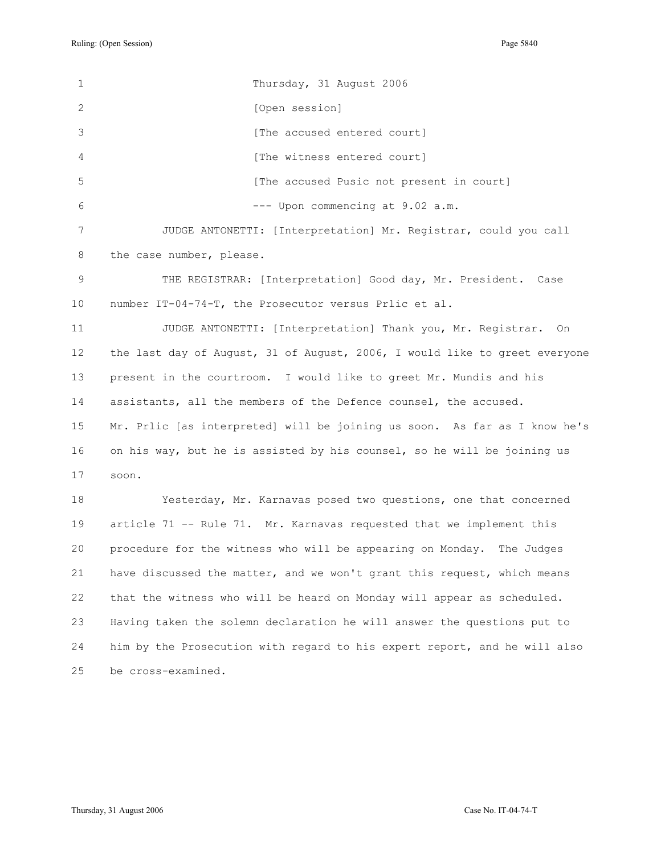Ruling: (Open Session) Page 5840

| 1               | Thursday, 31 August 2006                                                   |
|-----------------|----------------------------------------------------------------------------|
| 2               | [Open session]                                                             |
| 3               | [The accused entered court]                                                |
| 4               | [The witness entered court]                                                |
| 5               | [The accused Pusic not present in court]                                   |
| 6               | --- Upon commencing at 9.02 a.m.                                           |
| 7               | JUDGE ANTONETTI: [Interpretation] Mr. Registrar, could you call            |
| 8               | the case number, please.                                                   |
| 9               | THE REGISTRAR: [Interpretation] Good day, Mr. President. Case              |
| 10 <sub>o</sub> | number IT-04-74-T, the Prosecutor versus Prlic et al.                      |
| 11              | JUDGE ANTONETTI: [Interpretation] Thank you, Mr. Registrar. On             |
| 12              | the last day of August, 31 of August, 2006, I would like to greet everyone |
| 13              | present in the courtroom. I would like to greet Mr. Mundis and his         |
| 14              | assistants, all the members of the Defence counsel, the accused.           |
| 15              | Mr. Prlic [as interpreted] will be joining us soon. As far as I know he's  |
| 16              | on his way, but he is assisted by his counsel, so he will be joining us    |
| 17              | soon.                                                                      |
| 18              | Yesterday, Mr. Karnavas posed two questions, one that concerned            |
| 19              | article 71 -- Rule 71. Mr. Karnavas requested that we implement this       |
| 20              | procedure for the witness who will be appearing on Monday. The Judges      |
| 21              | have discussed the matter, and we won't grant this request, which means    |
| 22              | that the witness who will be heard on Monday will appear as scheduled.     |
| 23              | Having taken the solemn declaration he will answer the questions put to    |
| 24              | him by the Prosecution with regard to his expert report, and he will also  |
| 25              | be cross-examined.                                                         |
|                 |                                                                            |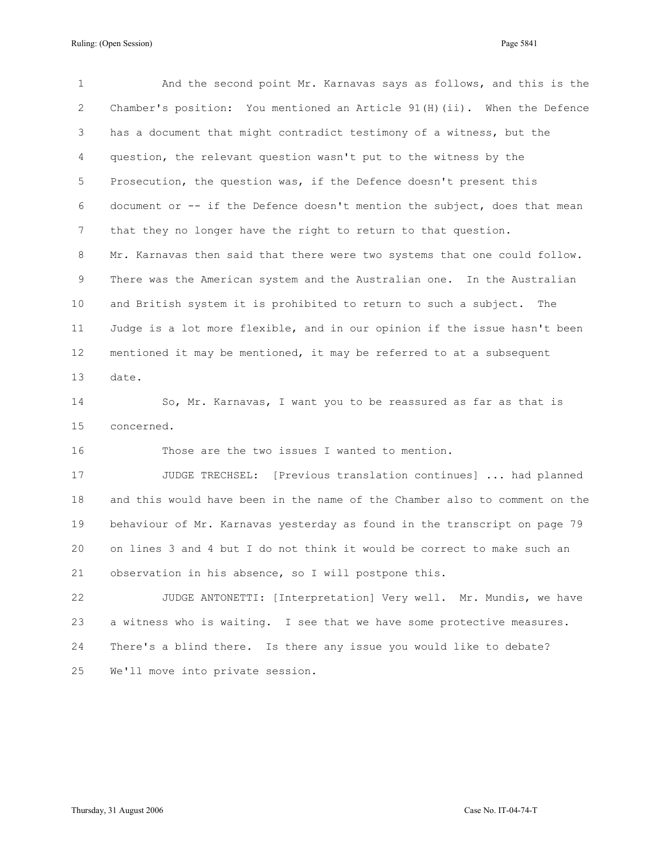Ruling: (Open Session) Page 5841

1 And the second point Mr. Karnavas says as follows, and this is the 2 Chamber's position: You mentioned an Article 91(H)(ii). When the Defence 3 has a document that might contradict testimony of a witness, but the 4 question, the relevant question wasn't put to the witness by the 5 Prosecution, the question was, if the Defence doesn't present this 6 document or -- if the Defence doesn't mention the subject, does that mean 7 that they no longer have the right to return to that question. 8 Mr. Karnavas then said that there were two systems that one could follow. 9 There was the American system and the Australian one. In the Australian 10 and British system it is prohibited to return to such a subject. The 11 Judge is a lot more flexible, and in our opinion if the issue hasn't been 12 mentioned it may be mentioned, it may be referred to at a subsequent 13 date. 14 So, Mr. Karnavas, I want you to be reassured as far as that is 15 concerned.

16 Those are the two issues I wanted to mention.

17 JUDGE TRECHSEL: [Previous translation continues] ... had planned 18 and this would have been in the name of the Chamber also to comment on the 19 behaviour of Mr. Karnavas yesterday as found in the transcript on page 79 20 on lines 3 and 4 but I do not think it would be correct to make such an 21 observation in his absence, so I will postpone this.

22 JUDGE ANTONETTI: [Interpretation] Very well. Mr. Mundis, we have 23 a witness who is waiting. I see that we have some protective measures. 24 There's a blind there. Is there any issue you would like to debate? 25 We'll move into private session.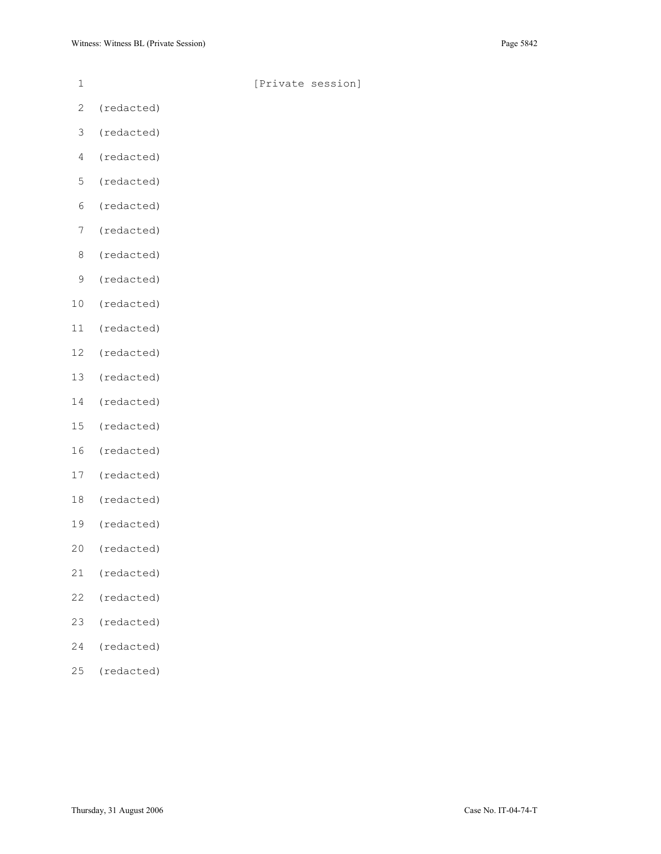| $1\,$        |            | [Private session] |
|--------------|------------|-------------------|
| $\mathbf{2}$ | (redacted) |                   |
| 3            | (redacted) |                   |
| 4            | (redacted) |                   |
| 5            | (redacted) |                   |
| 6            | (redacted) |                   |
| 7            | (redacted) |                   |
| 8            | (redacted) |                   |
| 9            | (redacted) |                   |
| 10           | (redacted) |                   |
| $11\,$       | (redacted) |                   |
| 12           | (redacted) |                   |
| 13           | (redacted) |                   |
| 14           | (redacted) |                   |
| 15           | (redacted) |                   |
| 16           | (redacted) |                   |
| 17           | (redacted) |                   |
| 18           | (redacted) |                   |

- 19 (redacted)
- 20 (redacted)
- 21 (redacted)
- 22 (redacted)
- 23 (redacted)
- 24 (redacted)
- 25 (redacted)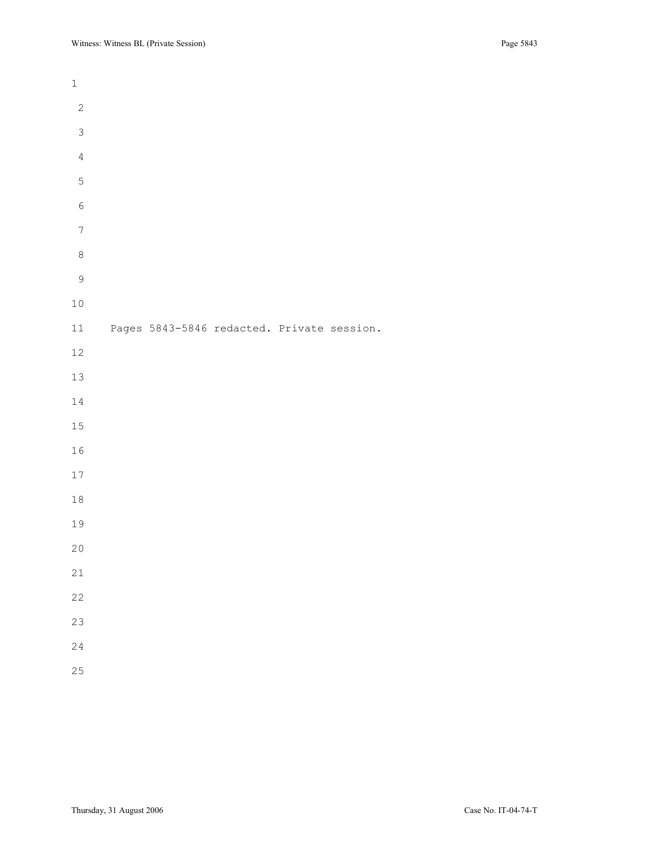| $\mathbf{1}$     |                                            |
|------------------|--------------------------------------------|
| $\overline{c}$   |                                            |
| $\mathsf 3$      |                                            |
| $\sqrt{4}$       |                                            |
| $\overline{5}$   |                                            |
| $\,$ 6 $\,$      |                                            |
| $\boldsymbol{7}$ |                                            |
| $\,8\,$          |                                            |
| $\mathcal{G}$    |                                            |
| $1\,0$           |                                            |
| $11\,$           | Pages 5843-5846 redacted. Private session. |
| $12\,$           |                                            |
| $13\,$           |                                            |
| $1\,4$           |                                            |
| $15\,$           |                                            |
| 16               |                                            |
| $1\,7$           |                                            |
| $1\,8$           |                                            |
| 19               |                                            |
| $20$             |                                            |
| $2\sqrt{1}$      |                                            |
| $2\sqrt{2}$      |                                            |
| 23               |                                            |
| 24               |                                            |
| 25               |                                            |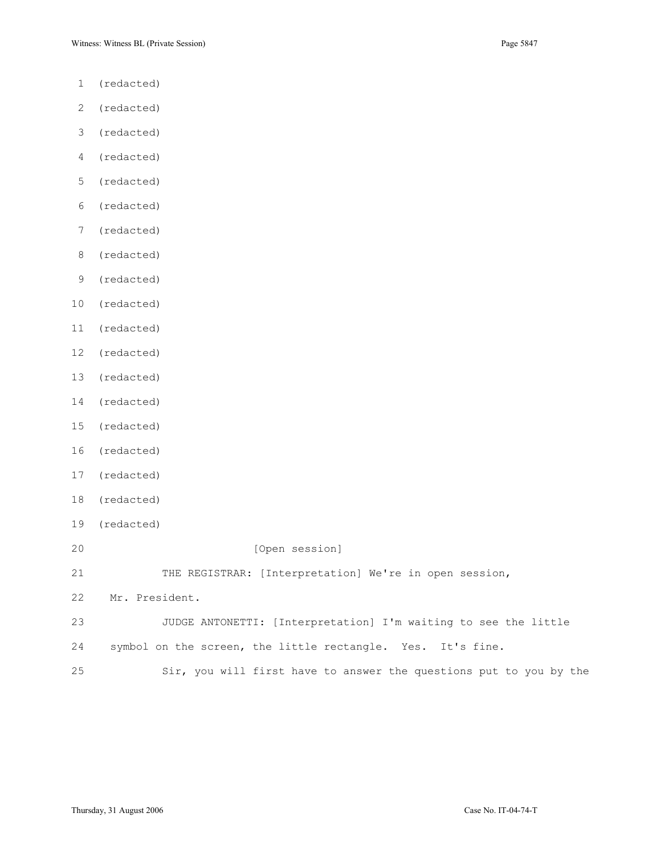- 1 (redacted)
- 2 (redacted)
- 3 (redacted)
- 4 (redacted)
- 5 (redacted)
- 6 (redacted)
- 7 (redacted)
- 8 (redacted)
- 9 (redacted)
- 10 (redacted)
- 11 (redacted)
- 12 (redacted)
- 13 (redacted)
- 14 (redacted)
- 15 (redacted)
- 16 (redacted)
- 17 (redacted)
- 18 (redacted)
- 19 (redacted)

20 [Open session]

21 THE REGISTRAR: [Interpretation] We're in open session,

22 Mr. President.

- 23 JUDGE ANTONETTI: [Interpretation] I'm waiting to see the little
- 24 symbol on the screen, the little rectangle. Yes. It's fine.
- 25 Sir, you will first have to answer the questions put to you by the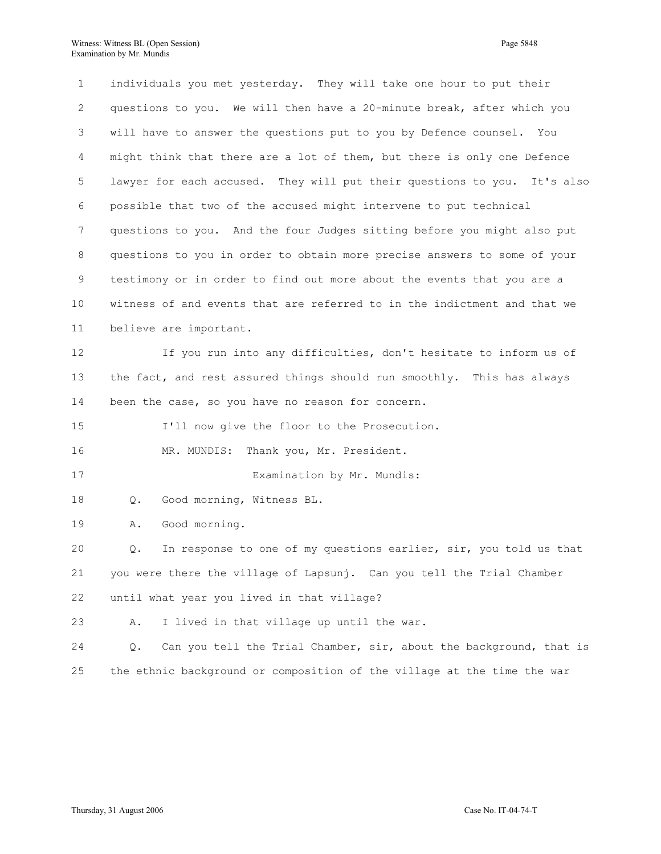1 individuals you met yesterday. They will take one hour to put their 2 questions to you. We will then have a 20-minute break, after which you 3 will have to answer the questions put to you by Defence counsel. You 4 might think that there are a lot of them, but there is only one Defence 5 lawyer for each accused. They will put their questions to you. It's also 6 possible that two of the accused might intervene to put technical 7 questions to you. And the four Judges sitting before you might also put 8 questions to you in order to obtain more precise answers to some of your 9 testimony or in order to find out more about the events that you are a 10 witness of and events that are referred to in the indictment and that we 11 believe are important. 12 If you run into any difficulties, don't hesitate to inform us of 13 the fact, and rest assured things should run smoothly. This has always 14 been the case, so you have no reason for concern. 15 I'll now give the floor to the Prosecution. 16 MR. MUNDIS: Thank you, Mr. President. 17 Examination by Mr. Mundis: 18 Q. Good morning, Witness BL. 19 A. Good morning. 20 Q. In response to one of my questions earlier, sir, you told us that 21 you were there the village of Lapsunj. Can you tell the Trial Chamber 22 until what year you lived in that village? 23 A. I lived in that village up until the war. 24 Q. Can you tell the Trial Chamber, sir, about the background, that is 25 the ethnic background or composition of the village at the time the war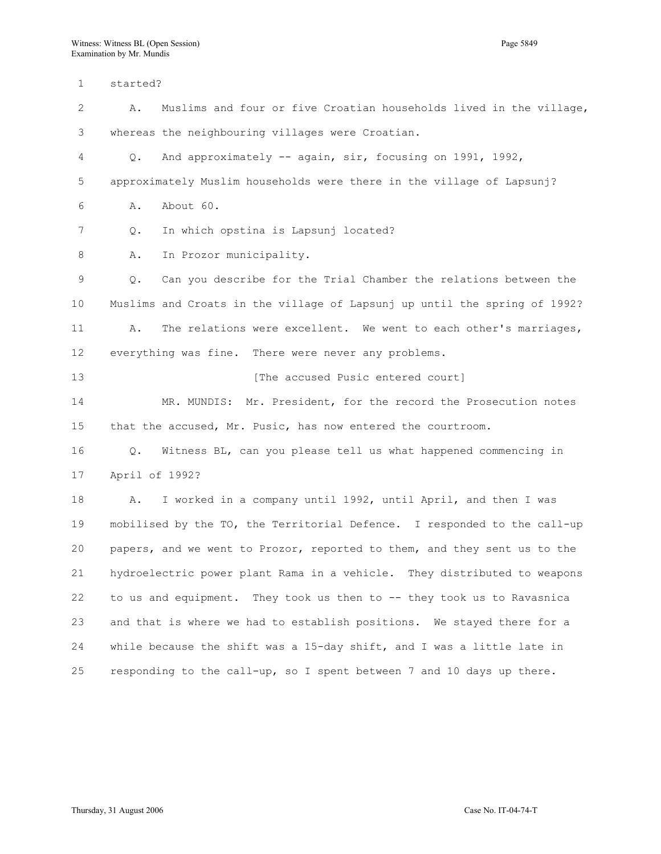1 started? 2 A. Muslims and four or five Croatian households lived in the village, 3 whereas the neighbouring villages were Croatian. 4 Q. And approximately -- again, sir, focusing on 1991, 1992, 5 approximately Muslim households were there in the village of Lapsunj? 6 A. About 60. 7 Q. In which opstina is Lapsunj located? 8 A. In Prozor municipality. 9 Q. Can you describe for the Trial Chamber the relations between the 10 Muslims and Croats in the village of Lapsunj up until the spring of 1992? 11 A. The relations were excellent. We went to each other's marriages, 12 everything was fine. There were never any problems. 13 **13 I** [The accused Pusic entered court] 14 MR. MUNDIS: Mr. President, for the record the Prosecution notes 15 that the accused, Mr. Pusic, has now entered the courtroom. 16 Q. Witness BL, can you please tell us what happened commencing in 17 April of 1992? 18 A. I worked in a company until 1992, until April, and then I was 19 mobilised by the TO, the Territorial Defence. I responded to the call-up 20 papers, and we went to Prozor, reported to them, and they sent us to the 21 hydroelectric power plant Rama in a vehicle. They distributed to weapons 22 to us and equipment. They took us then to -- they took us to Ravasnica 23 and that is where we had to establish positions. We stayed there for a 24 while because the shift was a 15-day shift, and I was a little late in

25 responding to the call-up, so I spent between 7 and 10 days up there.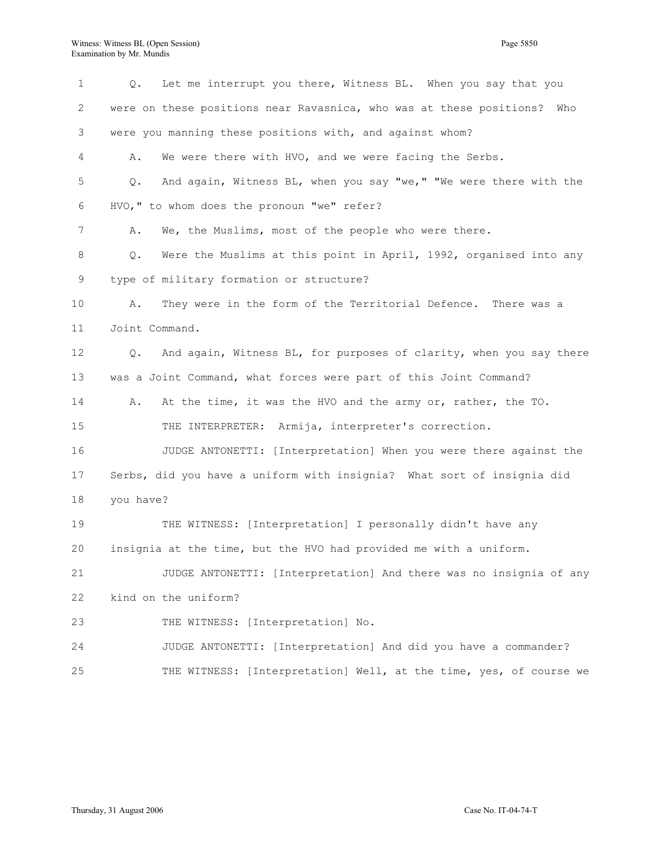1 Q. Let me interrupt you there, Witness BL. When you say that you 2 were on these positions near Ravasnica, who was at these positions? Who 3 were you manning these positions with, and against whom? 4 A. We were there with HVO, and we were facing the Serbs. 5 Q. And again, Witness BL, when you say "we," "We were there with the 6 HVO," to whom does the pronoun "we" refer? 7 A. We, the Muslims, most of the people who were there. 8 Q. Were the Muslims at this point in April, 1992, organised into any 9 type of military formation or structure? 10 A. They were in the form of the Territorial Defence. There was a 11 Joint Command. 12 Q. And again, Witness BL, for purposes of clarity, when you say there 13 was a Joint Command, what forces were part of this Joint Command? 14 A. At the time, it was the HVO and the army or, rather, the TO. 15 THE INTERPRETER: Armija, interpreter's correction. 16 JUDGE ANTONETTI: [Interpretation] When you were there against the 17 Serbs, did you have a uniform with insignia? What sort of insignia did 18 you have? 19 THE WITNESS: [Interpretation] I personally didn't have any 20 insignia at the time, but the HVO had provided me with a uniform. 21 JUDGE ANTONETTI: [Interpretation] And there was no insignia of any 22 kind on the uniform? 23 THE WITNESS: [Interpretation] No. 24 JUDGE ANTONETTI: [Interpretation] And did you have a commander? 25 THE WITNESS: [Interpretation] Well, at the time, yes, of course we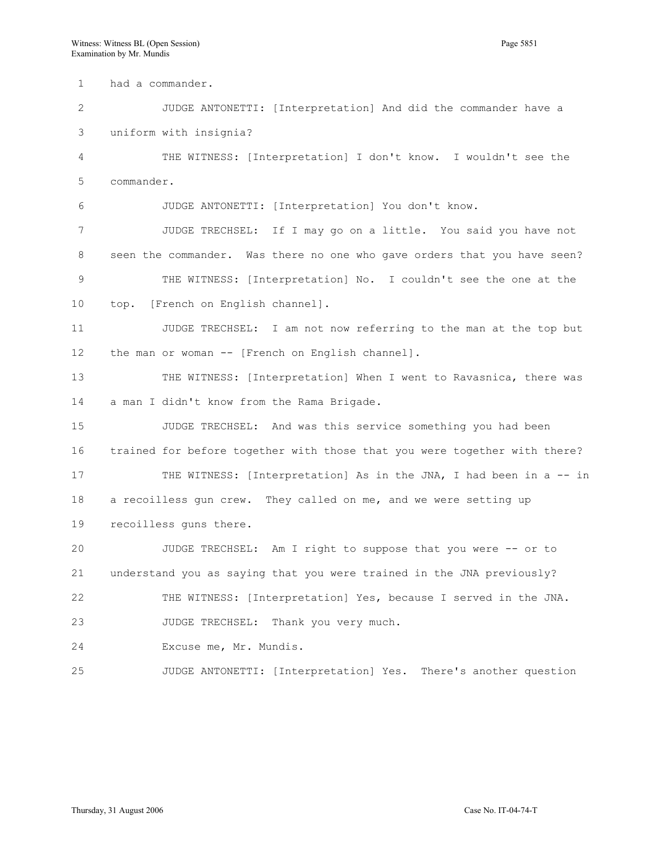1 had a commander. 2 JUDGE ANTONETTI: [Interpretation] And did the commander have a 3 uniform with insignia? 4 THE WITNESS: [Interpretation] I don't know. I wouldn't see the 5 commander. 6 JUDGE ANTONETTI: [Interpretation] You don't know. 7 JUDGE TRECHSEL: If I may go on a little. You said you have not 8 seen the commander. Was there no one who gave orders that you have seen? 9 THE WITNESS: [Interpretation] No. I couldn't see the one at the 10 top. [French on English channel]. 11 JUDGE TRECHSEL: I am not now referring to the man at the top but 12 the man or woman -- [French on English channel]. 13 THE WITNESS: [Interpretation] When I went to Ravasnica, there was 14 a man I didn't know from the Rama Brigade. 15 JUDGE TRECHSEL: And was this service something you had been 16 trained for before together with those that you were together with there? 17 THE WITNESS: [Interpretation] As in the JNA, I had been in a -- in 18 a recoilless gun crew. They called on me, and we were setting up 19 recoilless guns there. 20 JUDGE TRECHSEL: Am I right to suppose that you were -- or to 21 understand you as saying that you were trained in the JNA previously? 22 THE WITNESS: [Interpretation] Yes, because I served in the JNA. 23 JUDGE TRECHSEL: Thank you very much. 24 Excuse me, Mr. Mundis. 25 JUDGE ANTONETTI: [Interpretation] Yes. There's another question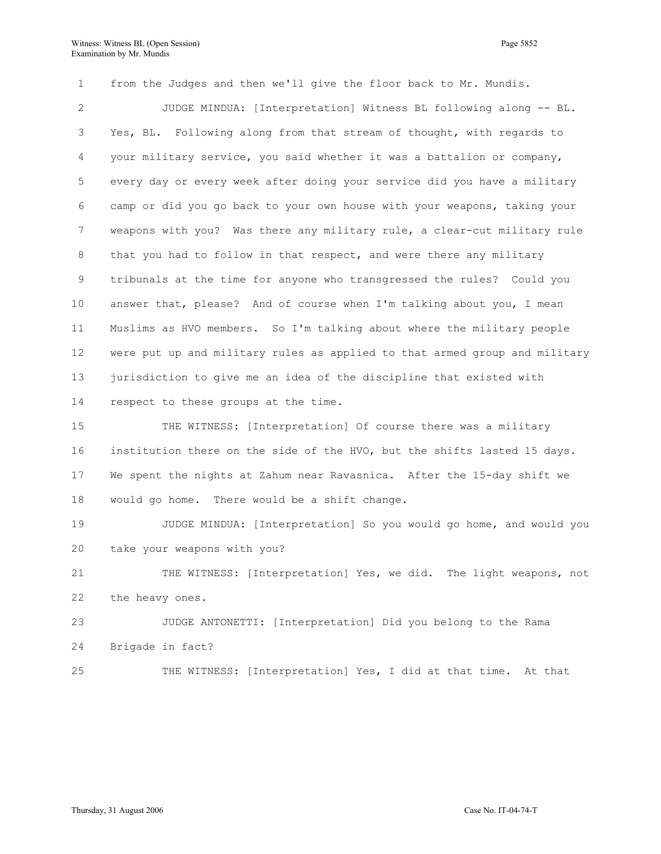1 from the Judges and then we'll give the floor back to Mr. Mundis. 2 JUDGE MINDUA: [Interpretation] Witness BL following along -- BL. 3 Yes, BL. Following along from that stream of thought, with regards to 4 your military service, you said whether it was a battalion or company, 5 every day or every week after doing your service did you have a military 6 camp or did you go back to your own house with your weapons, taking your 7 weapons with you? Was there any military rule, a clear-cut military rule 8 that you had to follow in that respect, and were there any military 9 tribunals at the time for anyone who transgressed the rules? Could you 10 answer that, please? And of course when I'm talking about you, I mean 11 Muslims as HVO members. So I'm talking about where the military people 12 were put up and military rules as applied to that armed group and military 13 jurisdiction to give me an idea of the discipline that existed with 14 respect to these groups at the time. 15 THE WITNESS: [Interpretation] Of course there was a military

16 institution there on the side of the HVO, but the shifts lasted 15 days. 17 We spent the nights at Zahum near Ravasnica. After the 15-day shift we 18 would go home. There would be a shift change.

19 JUDGE MINDUA: [Interpretation] So you would go home, and would you 20 take your weapons with you?

21 THE WITNESS: [Interpretation] Yes, we did. The light weapons, not 22 the heavy ones.

23 JUDGE ANTONETTI: [Interpretation] Did you belong to the Rama 24 Brigade in fact?

25 THE WITNESS: [Interpretation] Yes, I did at that time. At that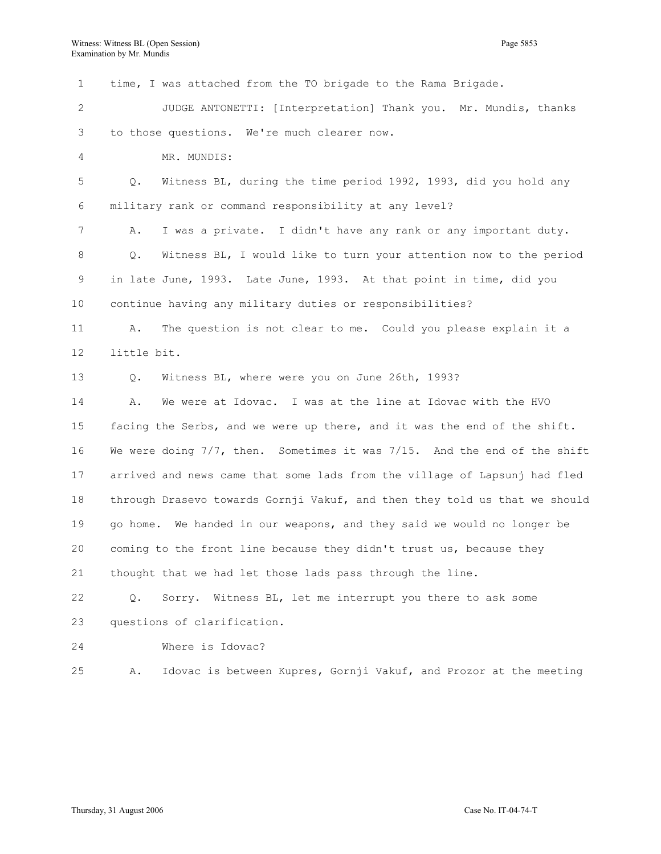1 time, I was attached from the TO brigade to the Rama Brigade. 2 JUDGE ANTONETTI: [Interpretation] Thank you. Mr. Mundis, thanks 3 to those questions. We're much clearer now. 4 MR. MUNDIS: 5 0. Witness BL, during the time period 1992, 1993, did you hold any 6 military rank or command responsibility at any level? 7 A. I was a private. I didn't have any rank or any important duty. 8 Q. Witness BL, I would like to turn your attention now to the period 9 in late June, 1993. Late June, 1993. At that point in time, did you 10 continue having any military duties or responsibilities? 11 A. The question is not clear to me. Could you please explain it a 12 little bit. 13 Q. Witness BL, where were you on June 26th, 1993? 14 A. We were at Idovac. I was at the line at Idovac with the HVO 15 facing the Serbs, and we were up there, and it was the end of the shift. 16 We were doing 7/7, then. Sometimes it was 7/15. And the end of the shift 17 arrived and news came that some lads from the village of Lapsunj had fled 18 through Drasevo towards Gornji Vakuf, and then they told us that we should 19 go home. We handed in our weapons, and they said we would no longer be 20 coming to the front line because they didn't trust us, because they 21 thought that we had let those lads pass through the line. 22 Q. Sorry. Witness BL, let me interrupt you there to ask some 23 questions of clarification. 24 Where is Idovac? 25 A. Idovac is between Kupres, Gornji Vakuf, and Prozor at the meeting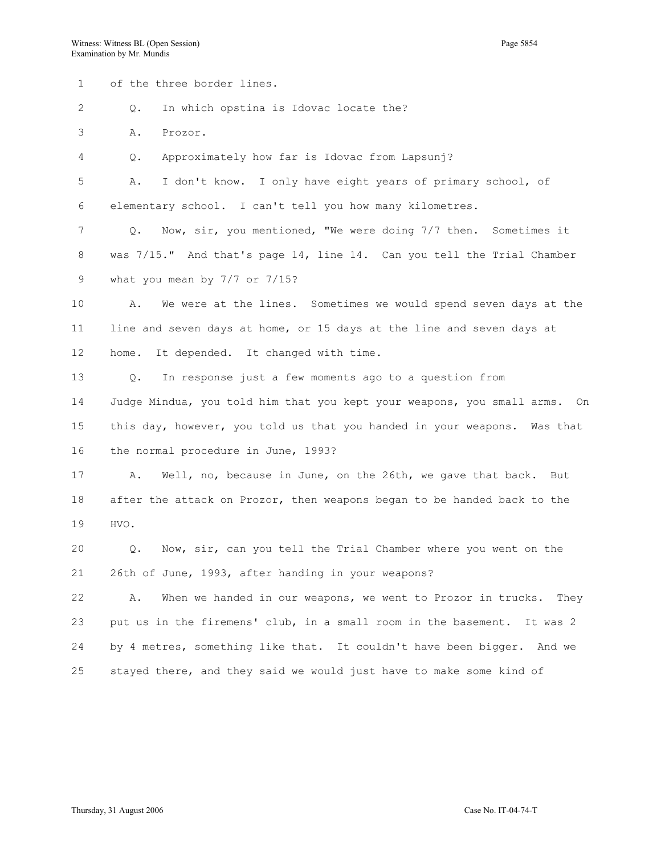1 of the three border lines.

2 Q. In which opstina is Idovac locate the?

3 A. Prozor.

4 Q. Approximately how far is Idovac from Lapsunj?

5 A. I don't know. I only have eight years of primary school, of 6 elementary school. I can't tell you how many kilometres.

7 Q. Now, sir, you mentioned, "We were doing 7/7 then. Sometimes it 8 was 7/15." And that's page 14, line 14. Can you tell the Trial Chamber 9 what you mean by 7/7 or 7/15?

10 A. We were at the lines. Sometimes we would spend seven days at the 11 line and seven days at home, or 15 days at the line and seven days at 12 home. It depended. It changed with time.

13 Q. In response just a few moments ago to a question from 14 Judge Mindua, you told him that you kept your weapons, you small arms. On 15 this day, however, you told us that you handed in your weapons. Was that 16 the normal procedure in June, 1993?

17 A. Well, no, because in June, on the 26th, we gave that back. But 18 after the attack on Prozor, then weapons began to be handed back to the 19 HVO.

20 Q. Now, sir, can you tell the Trial Chamber where you went on the 21 26th of June, 1993, after handing in your weapons?

22 A. When we handed in our weapons, we went to Prozor in trucks. They 23 put us in the firemens' club, in a small room in the basement. It was 2 24 by 4 metres, something like that. It couldn't have been bigger. And we 25 stayed there, and they said we would just have to make some kind of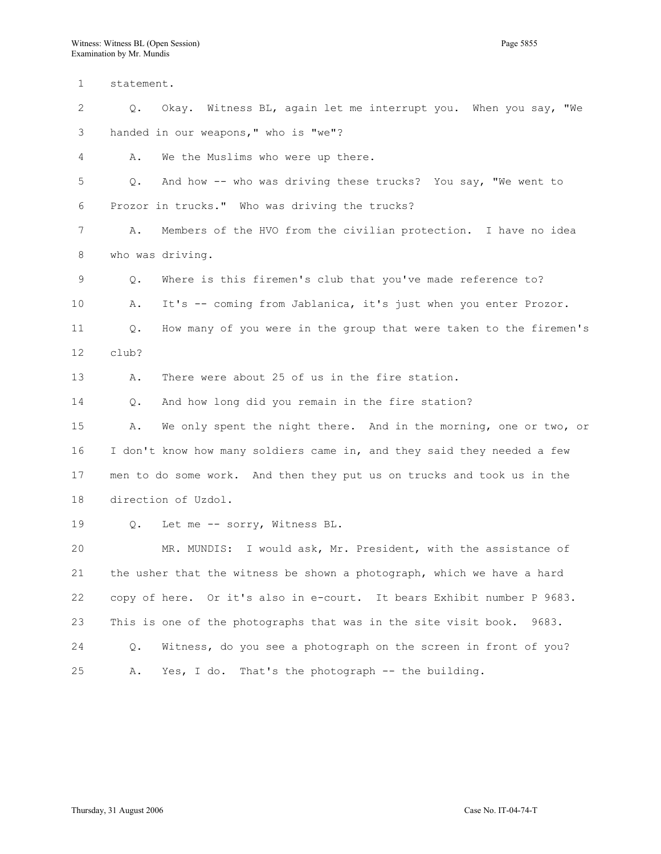1 statement. 2 Q. Okay. Witness BL, again let me interrupt you. When you say, "We 3 handed in our weapons," who is "we"? 4 A. We the Muslims who were up there. 5 Q. And how -- who was driving these trucks? You say, "We went to 6 Prozor in trucks." Who was driving the trucks? 7 A. Members of the HVO from the civilian protection. I have no idea 8 who was driving. 9 Q. Where is this firemen's club that you've made reference to? 10 A. It's -- coming from Jablanica, it's just when you enter Prozor. 11 Q. How many of you were in the group that were taken to the firemen's 12 club? 13 A. There were about 25 of us in the fire station. 14 Q. And how long did you remain in the fire station? 15 A. We only spent the night there. And in the morning, one or two, or 16 I don't know how many soldiers came in, and they said they needed a few 17 men to do some work. And then they put us on trucks and took us in the 18 direction of Uzdol. 19 Q. Let me -- sorry, Witness BL. 20 MR. MUNDIS: I would ask, Mr. President, with the assistance of 21 the usher that the witness be shown a photograph, which we have a hard 22 copy of here. Or it's also in e-court. It bears Exhibit number P 9683. 23 This is one of the photographs that was in the site visit book. 9683. 24 Q. Witness, do you see a photograph on the screen in front of you? 25 A. Yes, I do. That's the photograph -- the building.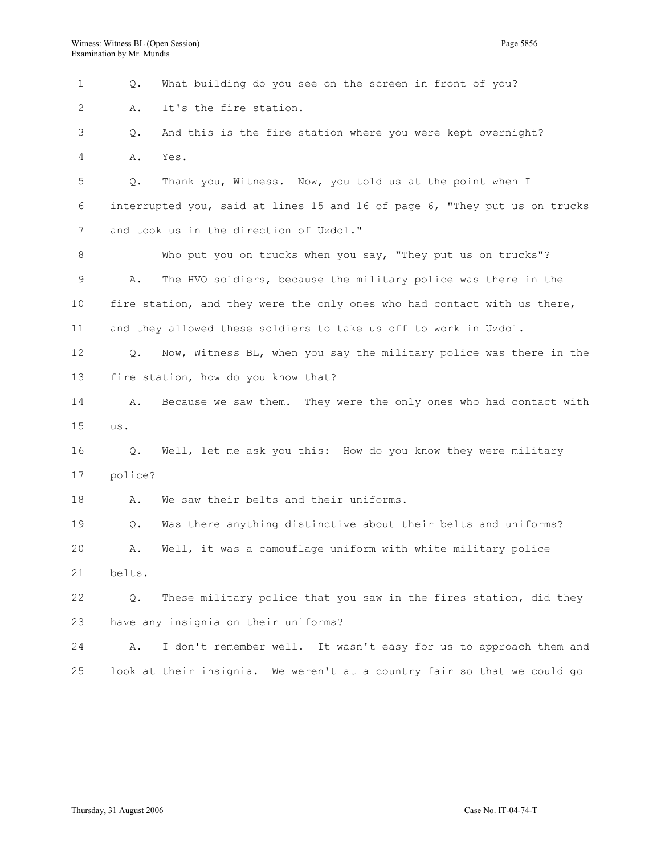1 Q. What building do you see on the screen in front of you? 2 A. It's the fire station. 3 Q. And this is the fire station where you were kept overnight? 4 A. Yes. 5 Q. Thank you, Witness. Now, you told us at the point when I 6 interrupted you, said at lines 15 and 16 of page 6, "They put us on trucks 7 and took us in the direction of Uzdol." 8 Who put you on trucks when you say, "They put us on trucks"? 9 A. The HVO soldiers, because the military police was there in the 10 fire station, and they were the only ones who had contact with us there, 11 and they allowed these soldiers to take us off to work in Uzdol. 12 Q. Now, Witness BL, when you say the military police was there in the 13 fire station, how do you know that? 14 A. Because we saw them. They were the only ones who had contact with 15 us. 16 Q. Well, let me ask you this: How do you know they were military 17 police? 18 A. We saw their belts and their uniforms. 19 Q. Was there anything distinctive about their belts and uniforms? 20 A. Well, it was a camouflage uniform with white military police 21 belts. 22 Q. These military police that you saw in the fires station, did they 23 have any insignia on their uniforms? 24 A. I don't remember well. It wasn't easy for us to approach them and 25 look at their insignia. We weren't at a country fair so that we could go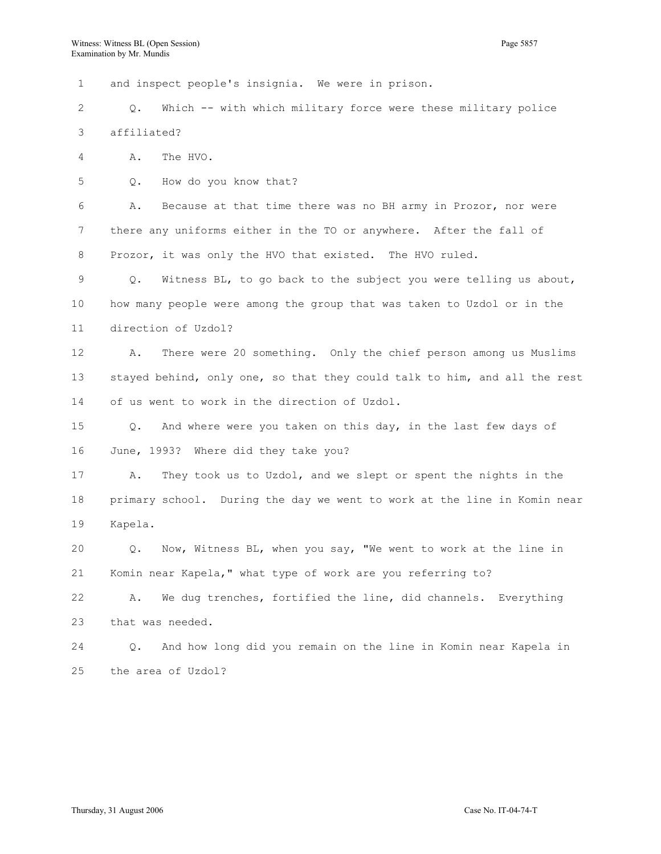1 and inspect people's insignia. We were in prison. 2 Q. Which -- with which military force were these military police 3 affiliated? 4 A. The HVO. 5 Q. How do you know that? 6 A. Because at that time there was no BH army in Prozor, nor were 7 there any uniforms either in the TO or anywhere. After the fall of 8 Prozor, it was only the HVO that existed. The HVO ruled. 9 Q. Witness BL, to go back to the subject you were telling us about, 10 how many people were among the group that was taken to Uzdol or in the 11 direction of Uzdol? 12 A. There were 20 something. Only the chief person among us Muslims 13 stayed behind, only one, so that they could talk to him, and all the rest 14 of us went to work in the direction of Uzdol. 15 Q. And where were you taken on this day, in the last few days of 16 June, 1993? Where did they take you? 17 A. They took us to Uzdol, and we slept or spent the nights in the 18 primary school. During the day we went to work at the line in Komin near 19 Kapela. 20 Q. Now, Witness BL, when you say, "We went to work at the line in 21 Komin near Kapela," what type of work are you referring to? 22 A. We dug trenches, fortified the line, did channels. Everything 23 that was needed. 24 Q. And how long did you remain on the line in Komin near Kapela in 25 the area of Uzdol?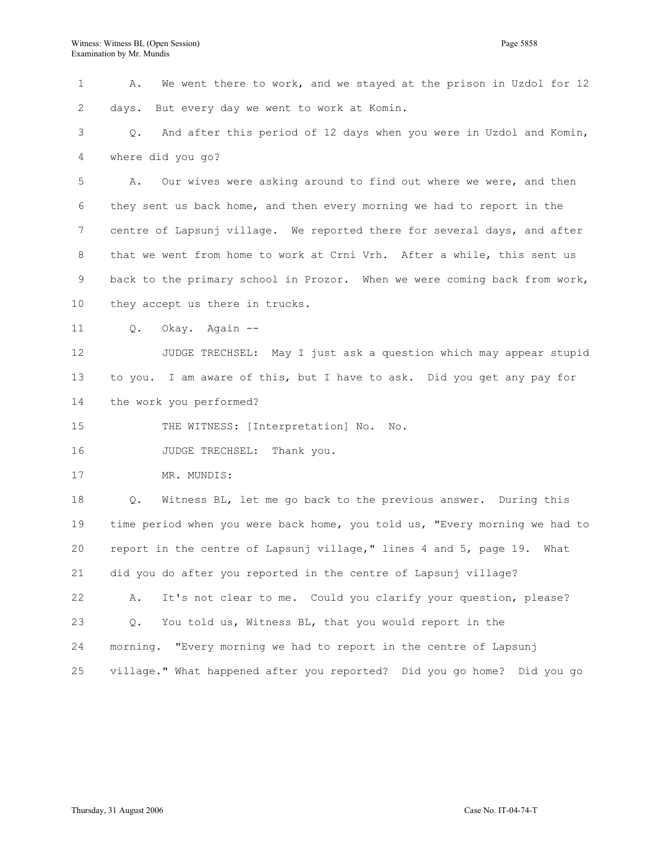| $\mathbf{1}$ and $\mathbf{1}$ | A. We went there to work, and we stayed at the prison in Uzdol for 12   |
|-------------------------------|-------------------------------------------------------------------------|
|                               | 2 days. But every day we went to work at Komin.                         |
|                               | 3 Q. And after this period of 12 days when you were in Uzdol and Komin, |

4 where did you go?

5 A. Our wives were asking around to find out where we were, and then 6 they sent us back home, and then every morning we had to report in the 7 centre of Lapsunj village. We reported there for several days, and after 8 that we went from home to work at Crni Vrh. After a while, this sent us 9 back to the primary school in Prozor. When we were coming back from work, 10 they accept us there in trucks.

11 Q. Okay. Again --

12 JUDGE TRECHSEL: May I just ask a question which may appear stupid 13 to you. I am aware of this, but I have to ask. Did you get any pay for 14 the work you performed?

15 THE WITNESS: [Interpretation] No. No.

16 JUDGE TRECHSEL: Thank you.

17 MR. MUNDIS:

18 Q. Witness BL, let me go back to the previous answer. During this 19 time period when you were back home, you told us, "Every morning we had to 20 report in the centre of Lapsunj village," lines 4 and 5, page 19. What 21 did you do after you reported in the centre of Lapsunj village?

22 A. It's not clear to me. Could you clarify your question, please? 23 Q. You told us, Witness BL, that you would report in the 24 morning. "Every morning we had to report in the centre of Lapsunj 25 village." What happened after you reported? Did you go home? Did you go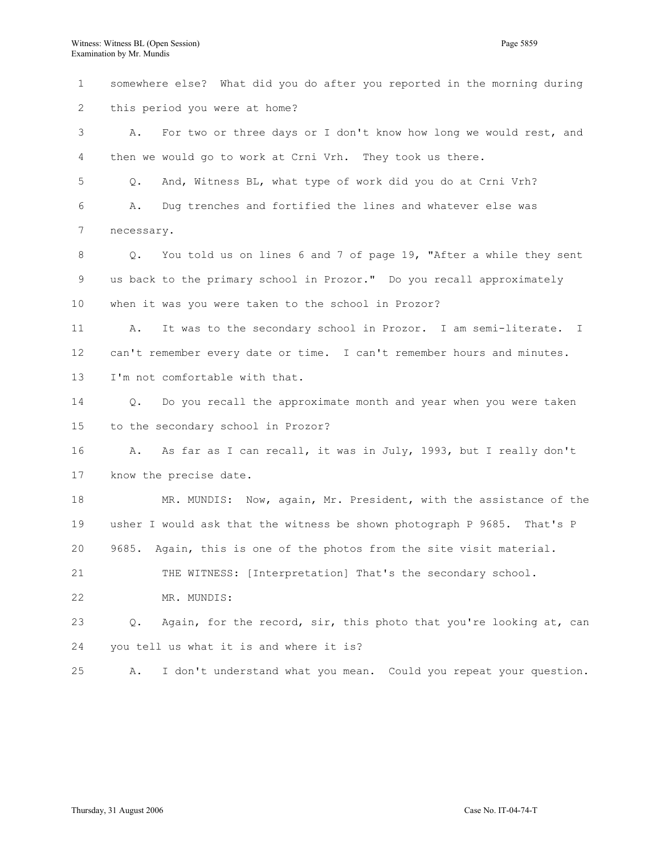1 somewhere else? What did you do after you reported in the morning during 2 this period you were at home? 3 A. For two or three days or I don't know how long we would rest, and 4 then we would go to work at Crni Vrh. They took us there. 5 Q. And, Witness BL, what type of work did you do at Crni Vrh? 6 A. Dug trenches and fortified the lines and whatever else was 7 necessary. 8 Q. You told us on lines 6 and 7 of page 19, "After a while they sent 9 us back to the primary school in Prozor." Do you recall approximately 10 when it was you were taken to the school in Prozor? 11 A. It was to the secondary school in Prozor. I am semi-literate. I 12 can't remember every date or time. I can't remember hours and minutes. 13 I'm not comfortable with that. 14 Q. Do you recall the approximate month and year when you were taken 15 to the secondary school in Prozor? 16 A. As far as I can recall, it was in July, 1993, but I really don't 17 know the precise date. 18 MR. MUNDIS: Now, again, Mr. President, with the assistance of the 19 usher I would ask that the witness be shown photograph P 9685. That's P 20 9685. Again, this is one of the photos from the site visit material. 21 THE WITNESS: [Interpretation] That's the secondary school. 22 MR. MUNDIS: 23 Q. Again, for the record, sir, this photo that you're looking at, can 24 you tell us what it is and where it is? 25 A. I don't understand what you mean. Could you repeat your question.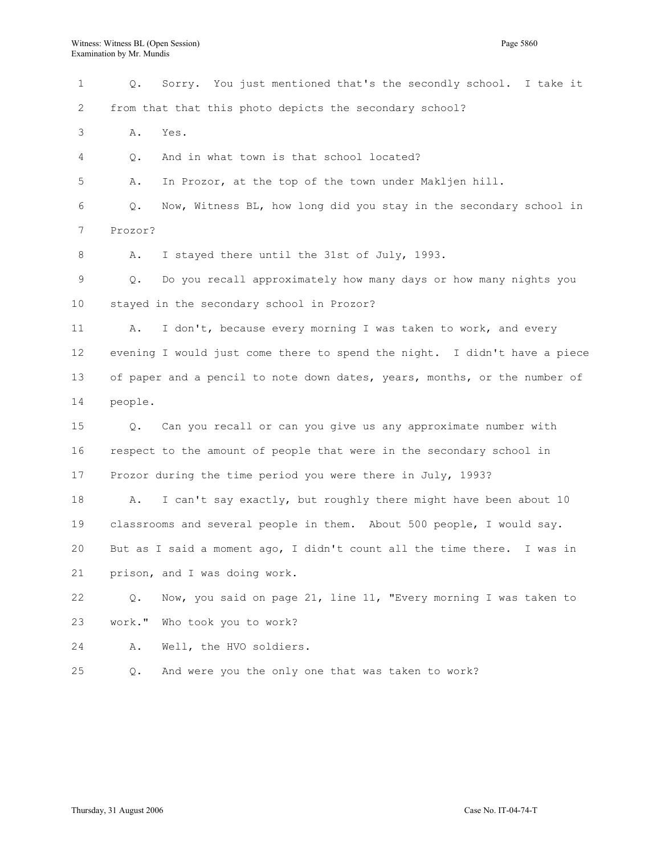1 Q. Sorry. You just mentioned that's the secondly school. I take it 2 from that that this photo depicts the secondary school? 3 A. Yes. 4 Q. And in what town is that school located? 5 A. In Prozor, at the top of the town under Makljen hill. 6 Q. Now, Witness BL, how long did you stay in the secondary school in 7 Prozor? 8 A. I stayed there until the 31st of July, 1993. 9 Q. Do you recall approximately how many days or how many nights you 10 stayed in the secondary school in Prozor? 11 A. I don't, because every morning I was taken to work, and every 12 evening I would just come there to spend the night. I didn't have a piece 13 of paper and a pencil to note down dates, years, months, or the number of 14 people. 15 Q. Can you recall or can you give us any approximate number with 16 respect to the amount of people that were in the secondary school in 17 Prozor during the time period you were there in July, 1993? 18 A. I can't say exactly, but roughly there might have been about 10 19 classrooms and several people in them. About 500 people, I would say. 20 But as I said a moment ago, I didn't count all the time there. I was in 21 prison, and I was doing work. 22 Q. Now, you said on page 21, line 11, "Every morning I was taken to 23 work." Who took you to work? 24 A. Well, the HVO soldiers. 25 Q. And were you the only one that was taken to work?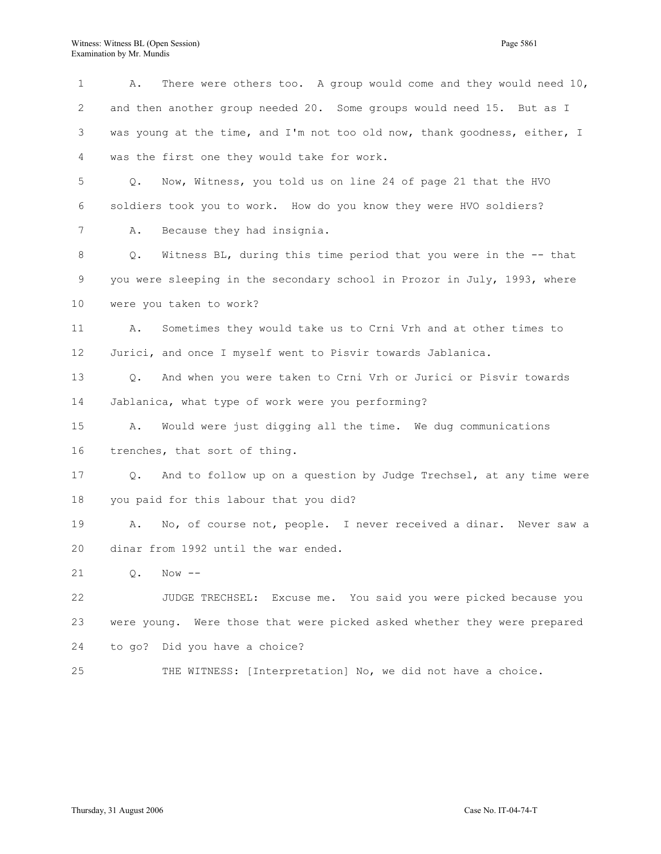1 A. There were others too. A group would come and they would need 10, 2 and then another group needed 20. Some groups would need 15. But as I 3 was young at the time, and I'm not too old now, thank goodness, either, I 4 was the first one they would take for work. 5 Q. Now, Witness, you told us on line 24 of page 21 that the HVO 6 soldiers took you to work. How do you know they were HVO soldiers? 7 A. Because they had insignia. 8 Q. Witness BL, during this time period that you were in the -- that 9 you were sleeping in the secondary school in Prozor in July, 1993, where 10 were you taken to work? 11 A. Sometimes they would take us to Crni Vrh and at other times to 12 Jurici, and once I myself went to Pisvir towards Jablanica. 13 Q. And when you were taken to Crni Vrh or Jurici or Pisvir towards 14 Jablanica, what type of work were you performing? 15 A. Would were just digging all the time. We dug communications 16 trenches, that sort of thing. 17 Q. And to follow up on a question by Judge Trechsel, at any time were 18 you paid for this labour that you did? 19 A. No, of course not, people. I never received a dinar. Never saw a 20 dinar from 1992 until the war ended. 21 Q. Now -- 22 JUDGE TRECHSEL: Excuse me. You said you were picked because you 23 were young. Were those that were picked asked whether they were prepared 24 to go? Did you have a choice? 25 THE WITNESS: [Interpretation] No, we did not have a choice.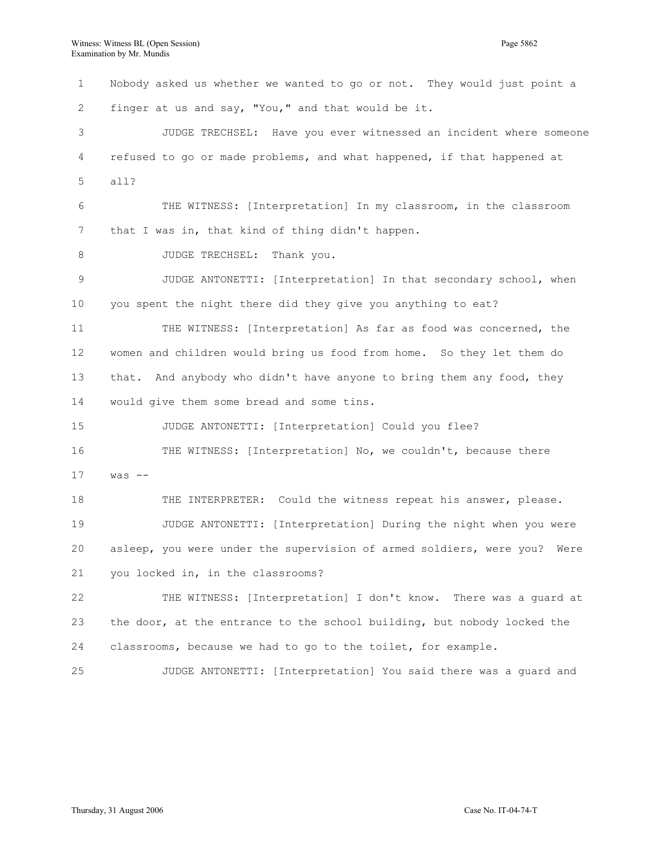1 Nobody asked us whether we wanted to go or not. They would just point a 2 finger at us and say, "You," and that would be it. 3 JUDGE TRECHSEL: Have you ever witnessed an incident where someone 4 refused to go or made problems, and what happened, if that happened at 5 all? 6 THE WITNESS: [Interpretation] In my classroom, in the classroom 7 that I was in, that kind of thing didn't happen. 8 JUDGE TRECHSEL: Thank you. 9 JUDGE ANTONETTI: [Interpretation] In that secondary school, when 10 you spent the night there did they give you anything to eat? 11 THE WITNESS: [Interpretation] As far as food was concerned, the 12 women and children would bring us food from home. So they let them do 13 that. And anybody who didn't have anyone to bring them any food, they 14 would give them some bread and some tins. 15 JUDGE ANTONETTI: [Interpretation] Could you flee? 16 THE WITNESS: [Interpretation] No, we couldn't, because there 17 was -- 18 THE INTERPRETER: Could the witness repeat his answer, please. 19 JUDGE ANTONETTI: [Interpretation] During the night when you were 20 asleep, you were under the supervision of armed soldiers, were you? Were 21 you locked in, in the classrooms? 22 THE WITNESS: [Interpretation] I don't know. There was a guard at 23 the door, at the entrance to the school building, but nobody locked the 24 classrooms, because we had to go to the toilet, for example. 25 JUDGE ANTONETTI: [Interpretation] You said there was a guard and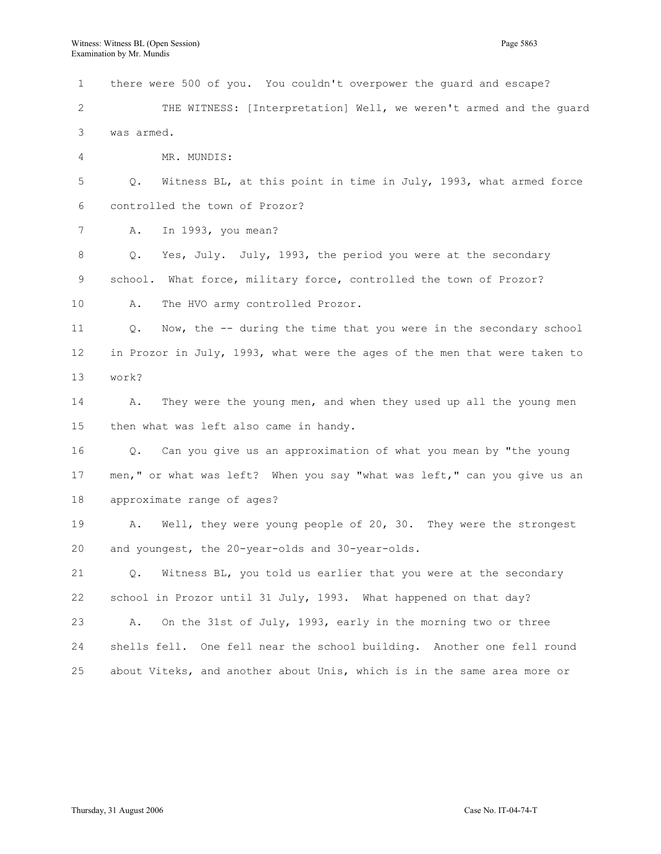1 there were 500 of you. You couldn't overpower the guard and escape? 2 THE WITNESS: [Interpretation] Well, we weren't armed and the guard 3 was armed. 4 MR. MUNDIS: 5 Q. Witness BL, at this point in time in July, 1993, what armed force 6 controlled the town of Prozor? 7 A. In 1993, you mean? 8 Q. Yes, July. July, 1993, the period you were at the secondary 9 school. What force, military force, controlled the town of Prozor? 10 A. The HVO army controlled Prozor. 11 Q. Now, the -- during the time that you were in the secondary school 12 in Prozor in July, 1993, what were the ages of the men that were taken to 13 work? 14 A. They were the young men, and when they used up all the young men 15 then what was left also came in handy. 16 Q. Can you give us an approximation of what you mean by "the young 17 men," or what was left? When you say "what was left," can you give us an 18 approximate range of ages? 19 A. Well, they were young people of 20, 30. They were the strongest 20 and youngest, the 20-year-olds and 30-year-olds. 21 Q. Witness BL, you told us earlier that you were at the secondary 22 school in Prozor until 31 July, 1993. What happened on that day? 23 A. On the 31st of July, 1993, early in the morning two or three 24 shells fell. One fell near the school building. Another one fell round 25 about Viteks, and another about Unis, which is in the same area more or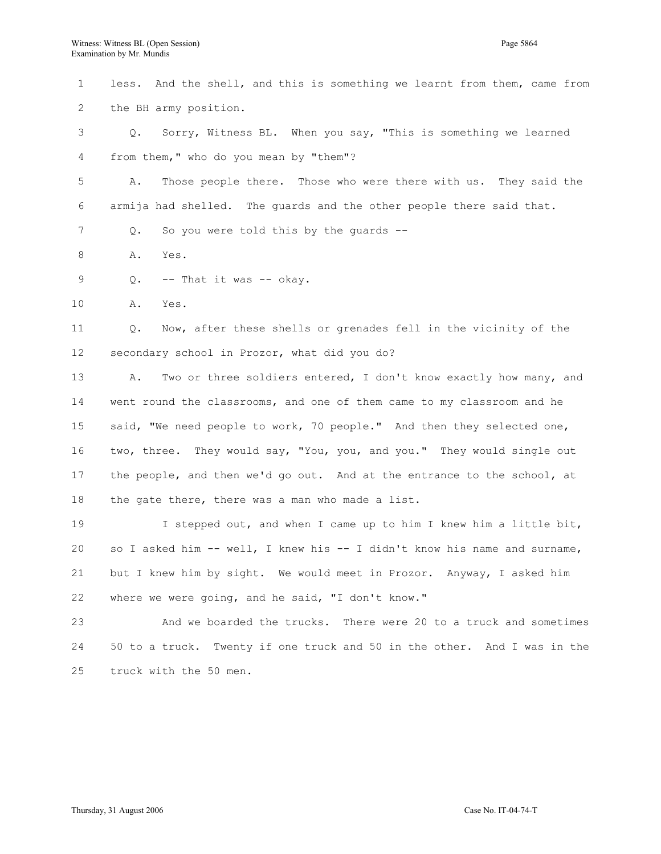1 less. And the shell, and this is something we learnt from them, came from 2 the BH army position. 3 Q. Sorry, Witness BL. When you say, "This is something we learned 4 from them," who do you mean by "them"? 5 A. Those people there. Those who were there with us. They said the 6 armija had shelled. The guards and the other people there said that. 7 Q. So you were told this by the guards --8 A. Yes. 9  $Q.$  -- That it was -- okay. 10 A. Yes. 11 Q. Now, after these shells or grenades fell in the vicinity of the 12 secondary school in Prozor, what did you do? 13 A. Two or three soldiers entered, I don't know exactly how many, and 14 went round the classrooms, and one of them came to my classroom and he 15 said, "We need people to work, 70 people." And then they selected one, 16 two, three. They would say, "You, you, and you." They would single out 17 the people, and then we'd go out. And at the entrance to the school, at 18 the gate there, there was a man who made a list. 19 I stepped out, and when I came up to him I knew him a little bit, 20 so I asked him -- well, I knew his -- I didn't know his name and surname, 21 but I knew him by sight. We would meet in Prozor. Anyway, I asked him 22 where we were going, and he said, "I don't know." 23 And we boarded the trucks. There were 20 to a truck and sometimes 24 50 to a truck. Twenty if one truck and 50 in the other. And I was in the

25 truck with the 50 men.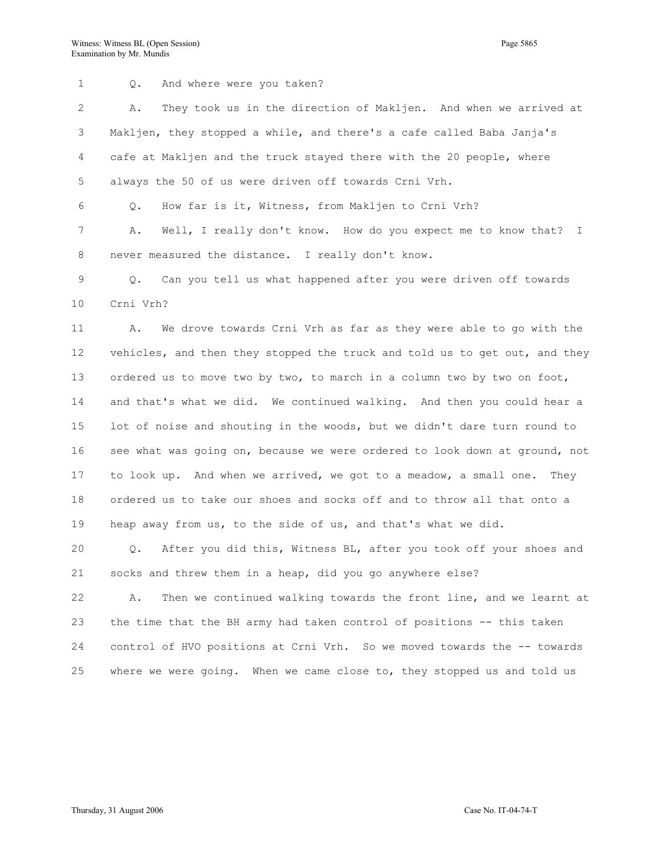1 Q. And where were you taken? 2 A. They took us in the direction of Makljen. And when we arrived at 3 Makljen, they stopped a while, and there's a cafe called Baba Janja's 4 cafe at Makljen and the truck stayed there with the 20 people, where 5 always the 50 of us were driven off towards Crni Vrh.

6 Q. How far is it, Witness, from Makljen to Crni Vrh?

7 A. Well, I really don't know. How do you expect me to know that? I 8 never measured the distance. I really don't know.

9 Q. Can you tell us what happened after you were driven off towards 10 Crni Vrh?

11 A. We drove towards Crni Vrh as far as they were able to go with the 12 vehicles, and then they stopped the truck and told us to get out, and they 13 ordered us to move two by two, to march in a column two by two on foot, 14 and that's what we did. We continued walking. And then you could hear a 15 lot of noise and shouting in the woods, but we didn't dare turn round to 16 see what was going on, because we were ordered to look down at ground, not 17 to look up. And when we arrived, we got to a meadow, a small one. They 18 ordered us to take our shoes and socks off and to throw all that onto a 19 heap away from us, to the side of us, and that's what we did.

20 Q. After you did this, Witness BL, after you took off your shoes and 21 socks and threw them in a heap, did you go anywhere else?

22 A. Then we continued walking towards the front line, and we learnt at 23 the time that the BH army had taken control of positions -- this taken 24 control of HVO positions at Crni Vrh. So we moved towards the -- towards 25 where we were going. When we came close to, they stopped us and told us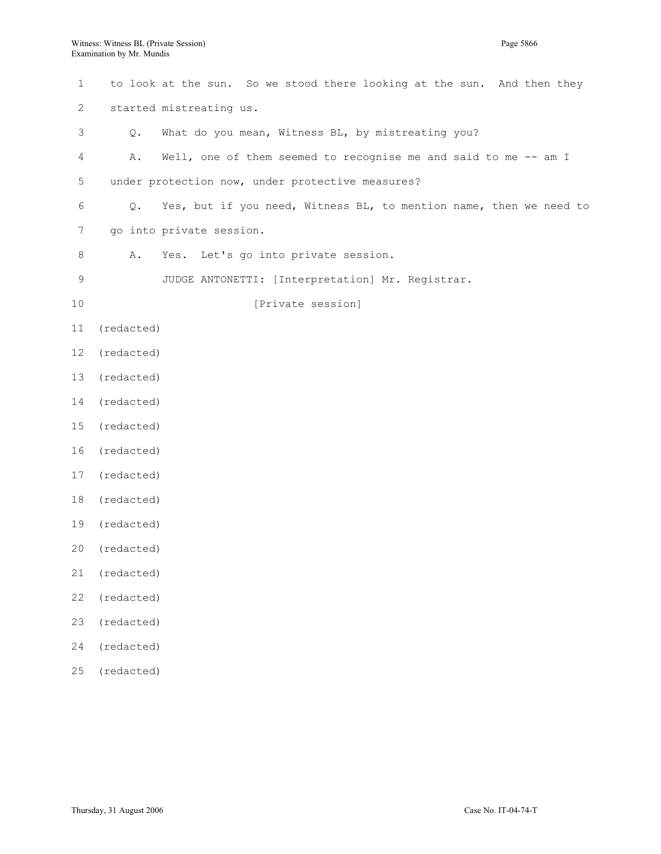| $\mathbf{1}$ |            | to look at the sun. So we stood there looking at the sun. And then they |
|--------------|------------|-------------------------------------------------------------------------|
| 2            |            | started mistreating us.                                                 |
| 3            | Q.         | What do you mean, Witness BL, by mistreating you?                       |
| 4            | Α.         | Well, one of them seemed to recognise me and said to me -- am I         |
| 5            |            | under protection now, under protective measures?                        |
| 6            | $\circ$ .  | Yes, but if you need, Witness BL, to mention name, then we need to      |
| 7            |            | go into private session.                                                |
| 8            | Α.         | Let's go into private session.<br>Yes.                                  |
| 9            |            | JUDGE ANTONETTI: [Interpretation] Mr. Registrar.                        |
| 10           |            | [Private session]                                                       |
| 11           | (redacted) |                                                                         |
| 12           | (redacted) |                                                                         |
| 13           | (redacted) |                                                                         |
| 14           | (redacted) |                                                                         |
| 15           | (redacted) |                                                                         |
| 16           | (redacted) |                                                                         |
| 17           | (redacted) |                                                                         |
| 18           | (redacted) |                                                                         |
| 19           | (redacted) |                                                                         |
| 20           | (redacted) |                                                                         |
| 21           | (redacted) |                                                                         |
| 22           | (redacted) |                                                                         |
| 23           | (redacted) |                                                                         |

- 24 (redacted)
- 25 (redacted)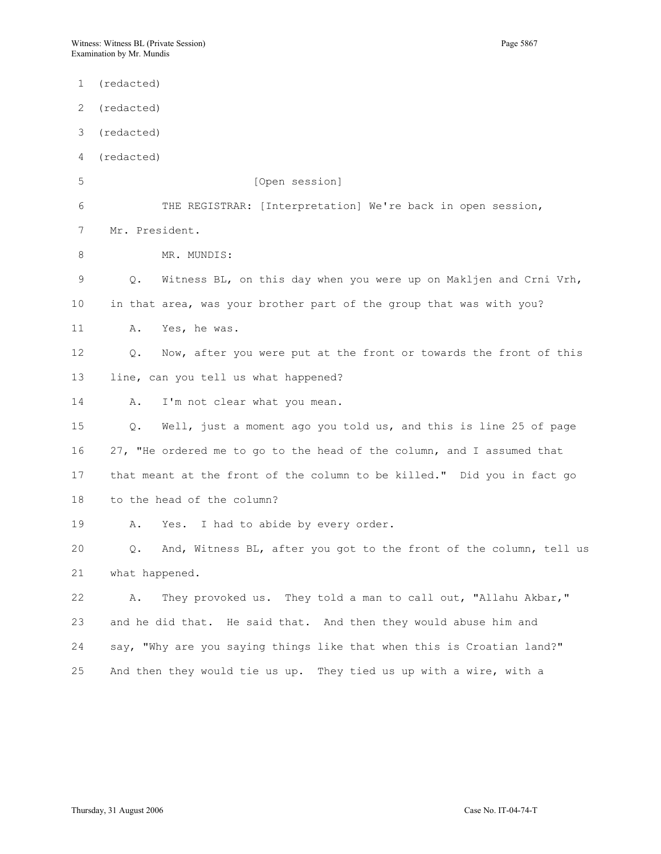| 1  | (redacted)                                                               |
|----|--------------------------------------------------------------------------|
| 2  | (redacted)                                                               |
| 3  | (redacted)                                                               |
| 4  | (redacted)                                                               |
| 5  | [Open session]                                                           |
| 6  | THE REGISTRAR: [Interpretation] We're back in open session,              |
| 7  | Mr. President.                                                           |
| 8  | MR. MUNDIS:                                                              |
| 9  | Witness BL, on this day when you were up on Makljen and Crni Vrh,<br>Q.  |
| 10 | in that area, was your brother part of the group that was with you?      |
| 11 | Yes, he was.<br>Α.                                                       |
| 12 | Now, after you were put at the front or towards the front of this<br>Q.  |
| 13 | line, can you tell us what happened?                                     |
| 14 | I'm not clear what you mean.<br>Α.                                       |
| 15 | Well, just a moment ago you told us, and this is line 25 of page<br>Q.   |
| 16 | 27, "He ordered me to go to the head of the column, and I assumed that   |
| 17 | that meant at the front of the column to be killed." Did you in fact go  |
| 18 | to the head of the column?                                               |
| 19 | Yes. I had to abide by every order.<br>Α.                                |
| 20 | And, Witness BL, after you got to the front of the column, tell us<br>Q. |
| 21 | what happened.                                                           |
| 22 | They provoked us. They told a man to call out, "Allahu Akbar,"<br>Α.     |
| 23 | and he did that. He said that. And then they would abuse him and         |
| 24 | say, "Why are you saying things like that when this is Croatian land?"   |
| 25 | And then they would tie us up. They tied us up with a wire, with a       |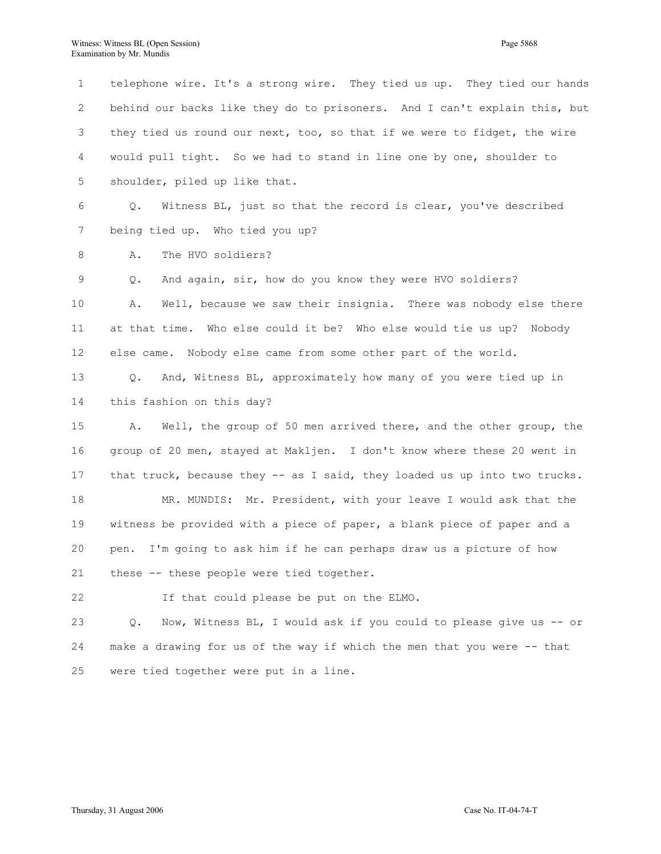1 telephone wire. It's a strong wire. They tied us up. They tied our hands 2 behind our backs like they do to prisoners. And I can't explain this, but 3 they tied us round our next, too, so that if we were to fidget, the wire 4 would pull tight. So we had to stand in line one by one, shoulder to 5 shoulder, piled up like that. 6 Q. Witness BL, just so that the record is clear, you've described 7 being tied up. Who tied you up? 8 A. The HVO soldiers? 9 Q. And again, sir, how do you know they were HVO soldiers? 10 A. Well, because we saw their insignia. There was nobody else there 11 at that time. Who else could it be? Who else would tie us up? Nobody 12 else came. Nobody else came from some other part of the world. 13 Q. And, Witness BL, approximately how many of you were tied up in 14 this fashion on this day? 15 A. Well, the group of 50 men arrived there, and the other group, the 16 group of 20 men, stayed at Makljen. I don't know where these 20 went in 17 that truck, because they -- as I said, they loaded us up into two trucks. 18 MR. MUNDIS: Mr. President, with your leave I would ask that the 19 witness be provided with a piece of paper, a blank piece of paper and a 20 pen. I'm going to ask him if he can perhaps draw us a picture of how 21 these -- these people were tied together. 22 If that could please be put on the ELMO. 23 Q. Now, Witness BL, I would ask if you could to please give us -- or 24 make a drawing for us of the way if which the men that you were -- that 25 were tied together were put in a line.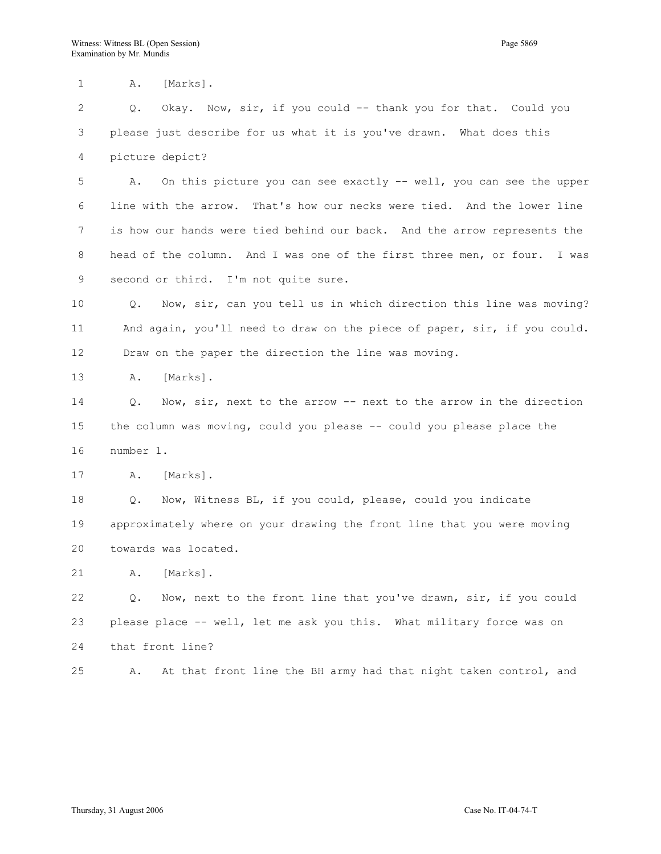1 A. [Marks].

2 Q. Okay. Now, sir, if you could -- thank you for that. Could you 3 please just describe for us what it is you've drawn. What does this 4 picture depict?

5 A. On this picture you can see exactly -- well, you can see the upper 6 line with the arrow. That's how our necks were tied. And the lower line 7 is how our hands were tied behind our back. And the arrow represents the 8 head of the column. And I was one of the first three men, or four. I was 9 second or third. I'm not quite sure.

10 Q. Now, sir, can you tell us in which direction this line was moving? 11 And again, you'll need to draw on the piece of paper, sir, if you could. 12 Draw on the paper the direction the line was moving.

13 A. [Marks].

14 Q. Now, sir, next to the arrow -- next to the arrow in the direction 15 the column was moving, could you please -- could you please place the 16 number 1.

17 A. [Marks].

18 Q. Now, Witness BL, if you could, please, could you indicate 19 approximately where on your drawing the front line that you were moving 20 towards was located.

21 A. [Marks].

22 Q. Now, next to the front line that you've drawn, sir, if you could 23 please place -- well, let me ask you this. What military force was on 24 that front line?

25 A. At that front line the BH army had that night taken control, and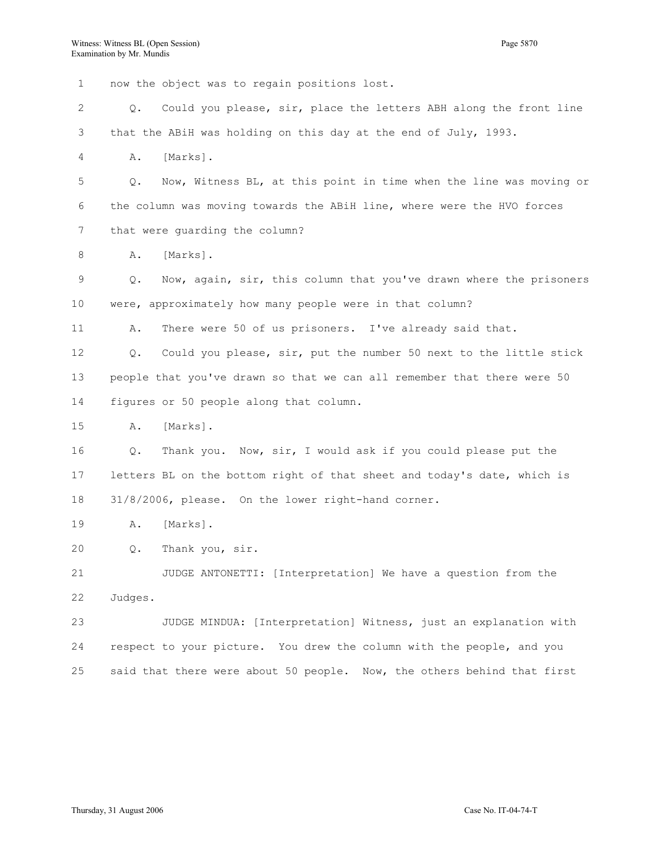1 now the object was to regain positions lost. 2 Q. Could you please, sir, place the letters ABH along the front line 3 that the ABiH was holding on this day at the end of July, 1993. 4 A. [Marks]. 5 Q. Now, Witness BL, at this point in time when the line was moving or 6 the column was moving towards the ABiH line, where were the HVO forces 7 that were guarding the column? 8 A. [Marks]. 9 Q. Now, again, sir, this column that you've drawn where the prisoners 10 were, approximately how many people were in that column? 11 A. There were 50 of us prisoners. I've already said that. 12 Q. Could you please, sir, put the number 50 next to the little stick 13 people that you've drawn so that we can all remember that there were 50 14 figures or 50 people along that column. 15 A. [Marks]. 16 Q. Thank you. Now, sir, I would ask if you could please put the 17 letters BL on the bottom right of that sheet and today's date, which is 18 31/8/2006, please. On the lower right-hand corner. 19 A. [Marks]. 20 Q. Thank you, sir. 21 JUDGE ANTONETTI: [Interpretation] We have a question from the 22 Judges. 23 JUDGE MINDUA: [Interpretation] Witness, just an explanation with 24 respect to your picture. You drew the column with the people, and you 25 said that there were about 50 people. Now, the others behind that first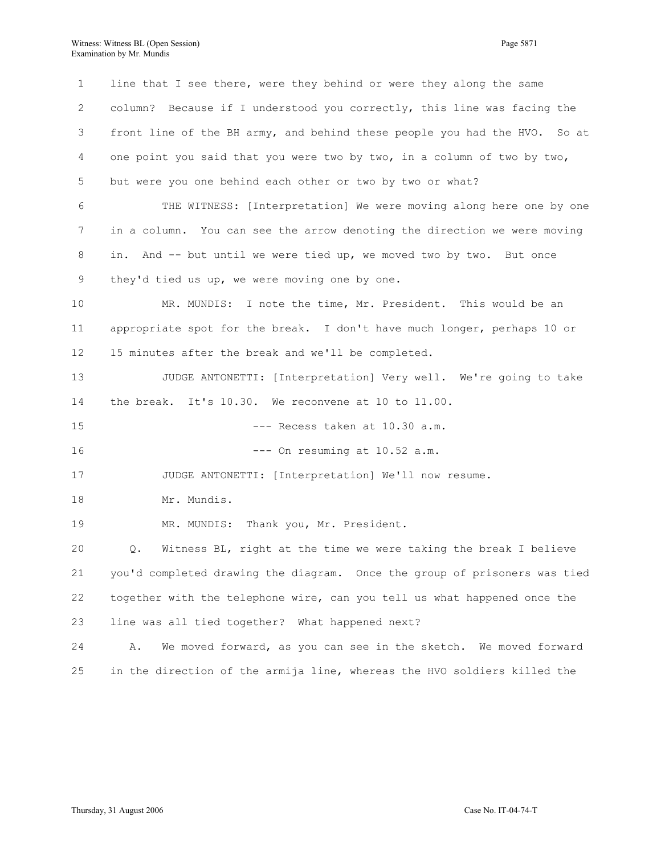| $\mathbf 1$ | line that I see there, were they behind or were they along the same       |
|-------------|---------------------------------------------------------------------------|
| 2           | column? Because if I understood you correctly, this line was facing the   |
| 3           | front line of the BH army, and behind these people you had the HVO. So at |
| 4           | one point you said that you were two by two, in a column of two by two,   |
| 5           | but were you one behind each other or two by two or what?                 |
| 6           | THE WITNESS: [Interpretation] We were moving along here one by one        |
| 7           | in a column. You can see the arrow denoting the direction we were moving  |
| 8           | in. And -- but until we were tied up, we moved two by two. But once       |
| 9           | they'd tied us up, we were moving one by one.                             |
| 10          | MR. MUNDIS: I note the time, Mr. President. This would be an              |
| 11          | appropriate spot for the break. I don't have much longer, perhaps 10 or   |
| 12          | 15 minutes after the break and we'll be completed.                        |
| 13          | JUDGE ANTONETTI: [Interpretation] Very well. We're going to take          |
| 14          | the break. It's 10.30. We reconvene at 10 to 11.00.                       |
| 15          | --- Recess taken at 10.30 a.m.                                            |
| 16          | $---$ On resuming at $10.52$ a.m.                                         |
| 17          | JUDGE ANTONETTI: [Interpretation] We'll now resume.                       |
| 18          | Mr. Mundis.                                                               |
| 19          | MR. MUNDIS: Thank you, Mr. President.                                     |
| 20          | Witness BL, right at the time we were taking the break I believe<br>Q.    |
| 21          | you'd completed drawing the diagram. Once the group of prisoners was tied |
| 22          | together with the telephone wire, can you tell us what happened once the  |
| 23          | line was all tied together? What happened next?                           |
| 24          | We moved forward, as you can see in the sketch. We moved forward<br>Α.    |
| 25          | in the direction of the armija line, whereas the HVO soldiers killed the  |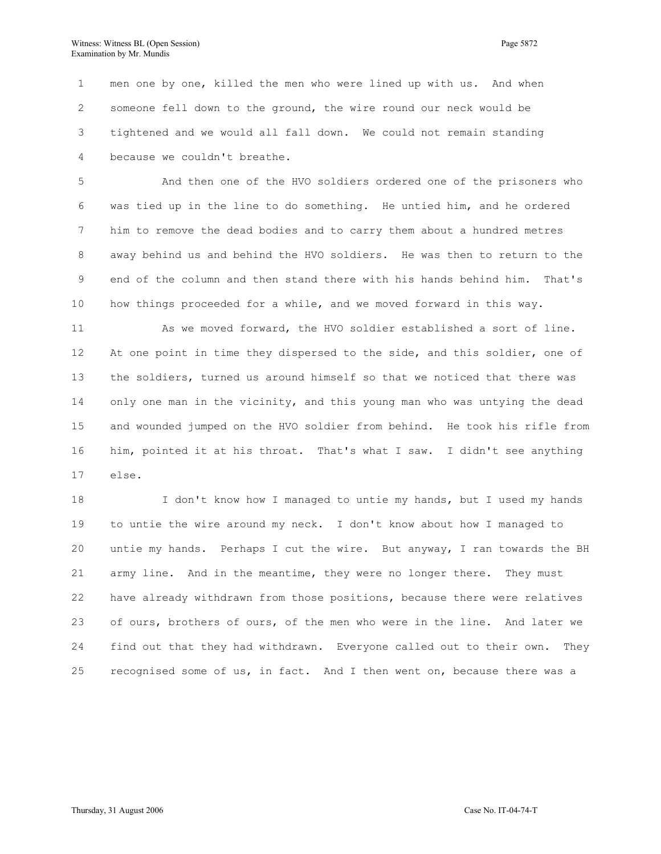1 men one by one, killed the men who were lined up with us. And when 2 someone fell down to the ground, the wire round our neck would be 3 tightened and we would all fall down. We could not remain standing 4 because we couldn't breathe.

5 And then one of the HVO soldiers ordered one of the prisoners who 6 was tied up in the line to do something. He untied him, and he ordered 7 him to remove the dead bodies and to carry them about a hundred metres 8 away behind us and behind the HVO soldiers. He was then to return to the 9 end of the column and then stand there with his hands behind him. That's 10 how things proceeded for a while, and we moved forward in this way.

11 As we moved forward, the HVO soldier established a sort of line. 12 At one point in time they dispersed to the side, and this soldier, one of 13 the soldiers, turned us around himself so that we noticed that there was 14 only one man in the vicinity, and this young man who was untying the dead 15 and wounded jumped on the HVO soldier from behind. He took his rifle from 16 him, pointed it at his throat. That's what I saw. I didn't see anything 17 else.

18 I don't know how I managed to untie my hands, but I used my hands 19 to untie the wire around my neck. I don't know about how I managed to 20 untie my hands. Perhaps I cut the wire. But anyway, I ran towards the BH 21 army line. And in the meantime, they were no longer there. They must 22 have already withdrawn from those positions, because there were relatives 23 of ours, brothers of ours, of the men who were in the line. And later we 24 find out that they had withdrawn. Everyone called out to their own. They 25 recognised some of us, in fact. And I then went on, because there was a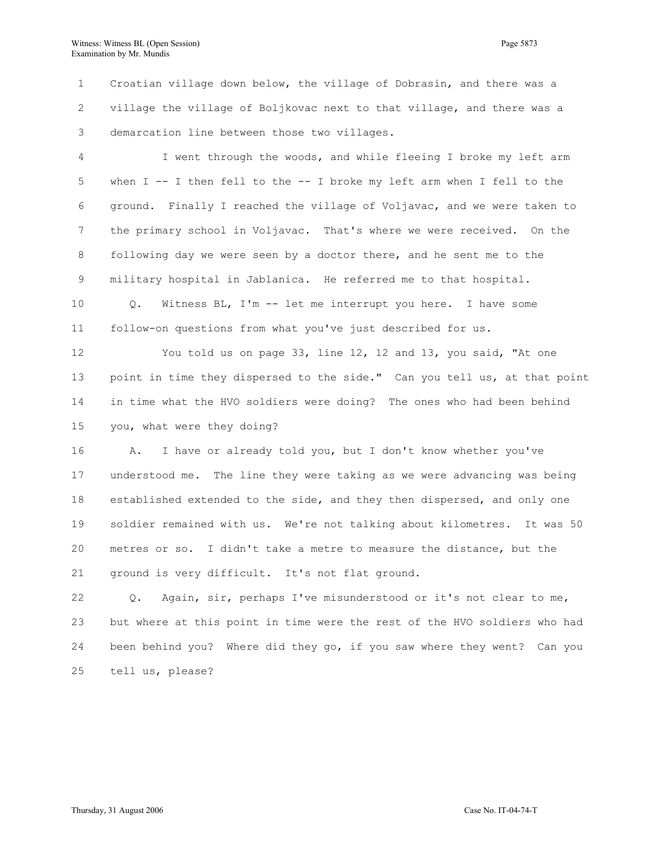1 Croatian village down below, the village of Dobrasin, and there was a 2 village the village of Boljkovac next to that village, and there was a 3 demarcation line between those two villages.

4 I went through the woods, and while fleeing I broke my left arm 5 when I -- I then fell to the -- I broke my left arm when I fell to the 6 ground. Finally I reached the village of Voljavac, and we were taken to 7 the primary school in Voljavac. That's where we were received. On the 8 following day we were seen by a doctor there, and he sent me to the 9 military hospital in Jablanica. He referred me to that hospital.

10 Q. Witness BL, I'm -- let me interrupt you here. I have some 11 follow-on questions from what you've just described for us.

12 You told us on page 33, line 12, 12 and 13, you said, "At one 13 point in time they dispersed to the side." Can you tell us, at that point 14 in time what the HVO soldiers were doing? The ones who had been behind 15 you, what were they doing?

16 A. I have or already told you, but I don't know whether you've 17 understood me. The line they were taking as we were advancing was being 18 established extended to the side, and they then dispersed, and only one 19 soldier remained with us. We're not talking about kilometres. It was 50 20 metres or so. I didn't take a metre to measure the distance, but the 21 ground is very difficult. It's not flat ground.

22 Q. Again, sir, perhaps I've misunderstood or it's not clear to me, 23 but where at this point in time were the rest of the HVO soldiers who had 24 been behind you? Where did they go, if you saw where they went? Can you 25 tell us, please?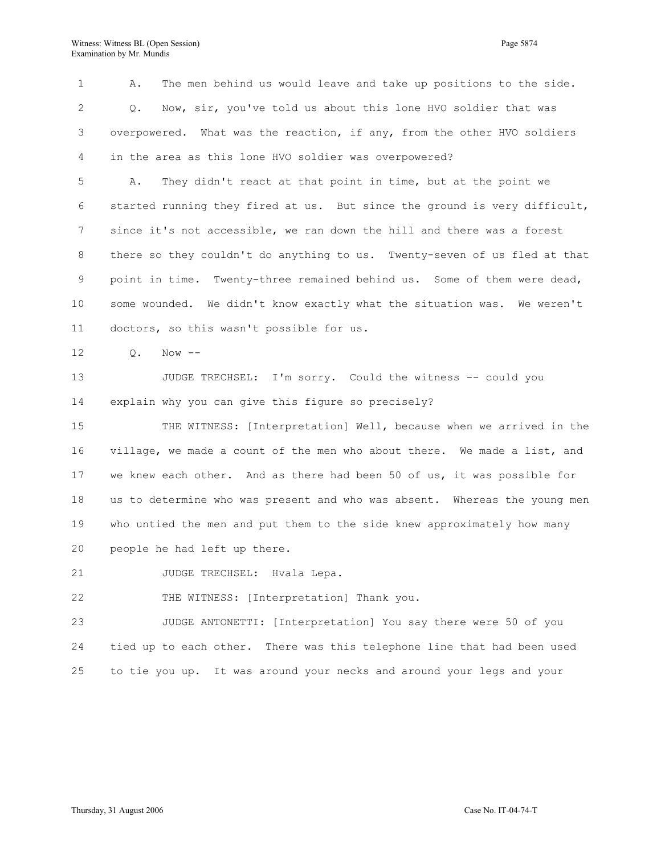1 A. The men behind us would leave and take up positions to the side. 2 Q. Now, sir, you've told us about this lone HVO soldier that was 3 overpowered. What was the reaction, if any, from the other HVO soldiers 4 in the area as this lone HVO soldier was overpowered?

5 A. They didn't react at that point in time, but at the point we 6 started running they fired at us. But since the ground is very difficult, 7 since it's not accessible, we ran down the hill and there was a forest 8 there so they couldn't do anything to us. Twenty-seven of us fled at that 9 point in time. Twenty-three remained behind us. Some of them were dead, 10 some wounded. We didn't know exactly what the situation was. We weren't 11 doctors, so this wasn't possible for us.

12 Q. Now --

13 JUDGE TRECHSEL: I'm sorry. Could the witness -- could you 14 explain why you can give this figure so precisely?

15 THE WITNESS: [Interpretation] Well, because when we arrived in the 16 village, we made a count of the men who about there. We made a list, and 17 we knew each other. And as there had been 50 of us, it was possible for 18 us to determine who was present and who was absent. Whereas the young men 19 who untied the men and put them to the side knew approximately how many 20 people he had left up there.

21 JUDGE TRECHSEL: Hvala Lepa.

22 THE WITNESS: [Interpretation] Thank you.

23 JUDGE ANTONETTI: [Interpretation] You say there were 50 of you 24 tied up to each other. There was this telephone line that had been used 25 to tie you up. It was around your necks and around your legs and your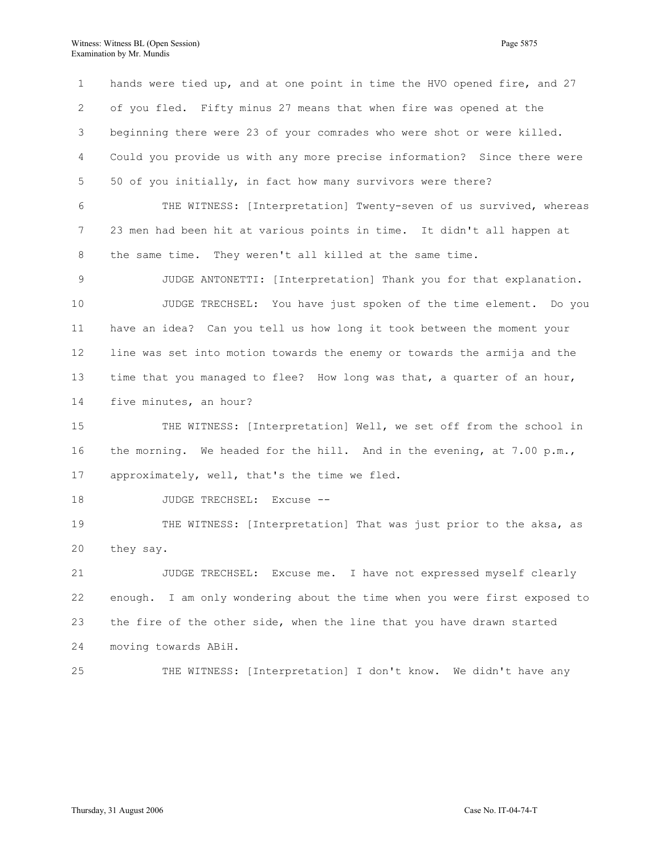1 hands were tied up, and at one point in time the HVO opened fire, and 27 2 of you fled. Fifty minus 27 means that when fire was opened at the 3 beginning there were 23 of your comrades who were shot or were killed. 4 Could you provide us with any more precise information? Since there were 5 50 of you initially, in fact how many survivors were there? 6 THE WITNESS: [Interpretation] Twenty-seven of us survived, whereas 7 23 men had been hit at various points in time. It didn't all happen at 8 the same time. They weren't all killed at the same time. 9 JUDGE ANTONETTI: [Interpretation] Thank you for that explanation. 10 JUDGE TRECHSEL: You have just spoken of the time element. Do you 11 have an idea? Can you tell us how long it took between the moment your 12 line was set into motion towards the enemy or towards the armija and the 13 time that you managed to flee? How long was that, a quarter of an hour, 14 five minutes, an hour? 15 THE WITNESS: [Interpretation] Well, we set off from the school in 16 the morning. We headed for the hill. And in the evening, at 7.00 p.m., 17 approximately, well, that's the time we fled. 18 JUDGE TRECHSEL: Excuse --19 THE WITNESS: [Interpretation] That was just prior to the aksa, as 20 they say. 21 JUDGE TRECHSEL: Excuse me. I have not expressed myself clearly 22 enough. I am only wondering about the time when you were first exposed to 23 the fire of the other side, when the line that you have drawn started 24 moving towards ABiH. 25 THE WITNESS: [Interpretation] I don't know. We didn't have any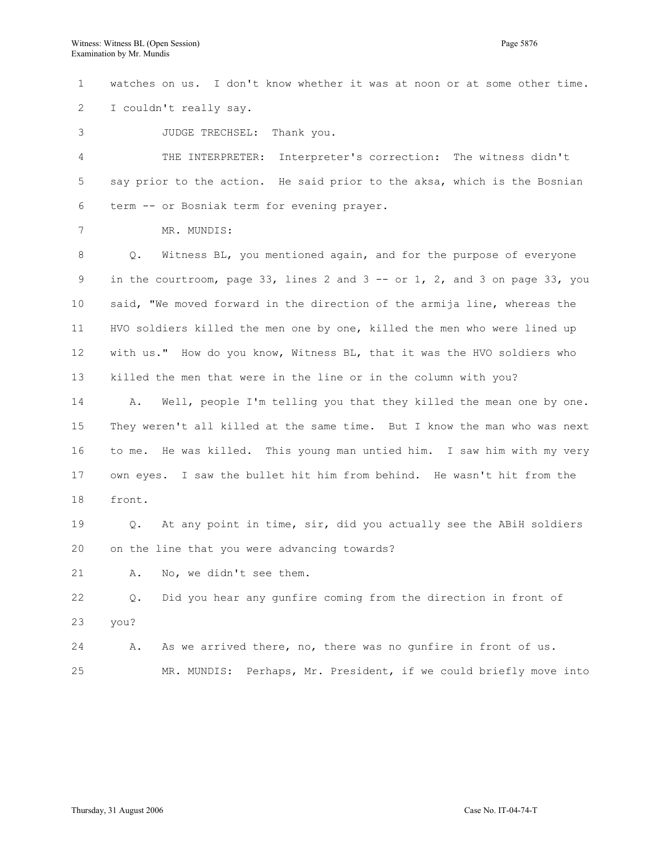1 watches on us. I don't know whether it was at noon or at some other time. 2 I couldn't really say.

3 JUDGE TRECHSEL: Thank you.

4 THE INTERPRETER: Interpreter's correction: The witness didn't 5 say prior to the action. He said prior to the aksa, which is the Bosnian 6 term -- or Bosniak term for evening prayer.

7 MR. MUNDIS:

8 Q. Witness BL, you mentioned again, and for the purpose of everyone 9 in the courtroom, page 33, lines 2 and 3 -- or 1, 2, and 3 on page 33, you 10 said, "We moved forward in the direction of the armija line, whereas the 11 HVO soldiers killed the men one by one, killed the men who were lined up 12 with us." How do you know, Witness BL, that it was the HVO soldiers who 13 killed the men that were in the line or in the column with you?

14 A. Well, people I'm telling you that they killed the mean one by one. 15 They weren't all killed at the same time. But I know the man who was next 16 to me. He was killed. This young man untied him. I saw him with my very 17 own eyes. I saw the bullet hit him from behind. He wasn't hit from the 18 front.

19 Q. At any point in time, sir, did you actually see the ABiH soldiers 20 on the line that you were advancing towards?

21 A. No, we didn't see them.

22 Q. Did you hear any gunfire coming from the direction in front of 23 you?

24 A. As we arrived there, no, there was no gunfire in front of us. 25 MR. MUNDIS: Perhaps, Mr. President, if we could briefly move into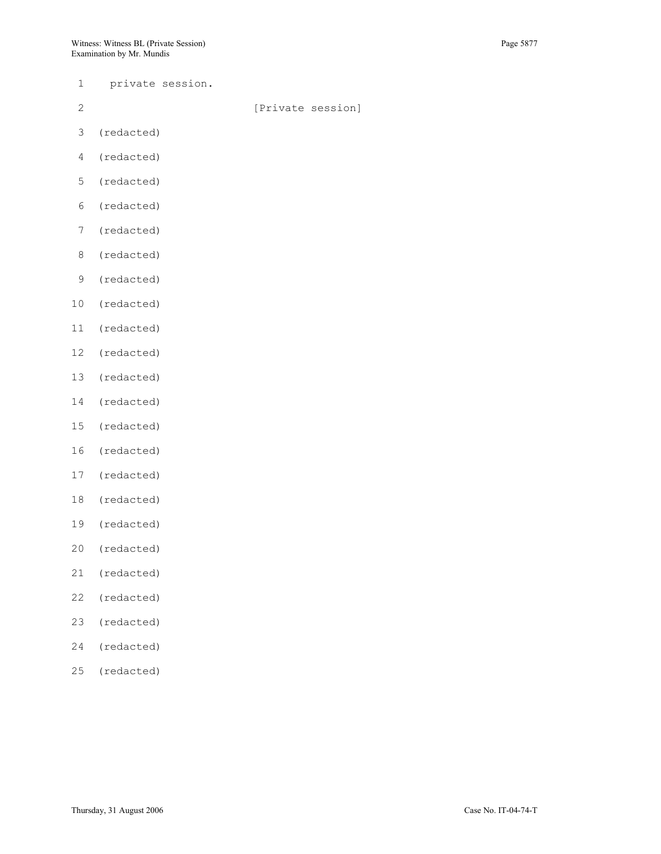- 1 private session.
- 2 [Private session]
- 3 (redacted)
- 4 (redacted)
- 5 (redacted)
- 6 (redacted)
- 7 (redacted)
- 8 (redacted)
- 9 (redacted)
- 10 (redacted)
- 11 (redacted)
- 12 (redacted)
- 13 (redacted)
- 14 (redacted)
- 15 (redacted)
- 16 (redacted)
- 17 (redacted)
- 18 (redacted)
- 19 (redacted)
- 20 (redacted)
- 21 (redacted)
- 22 (redacted)
- 23 (redacted)
- 24 (redacted)
- 25 (redacted)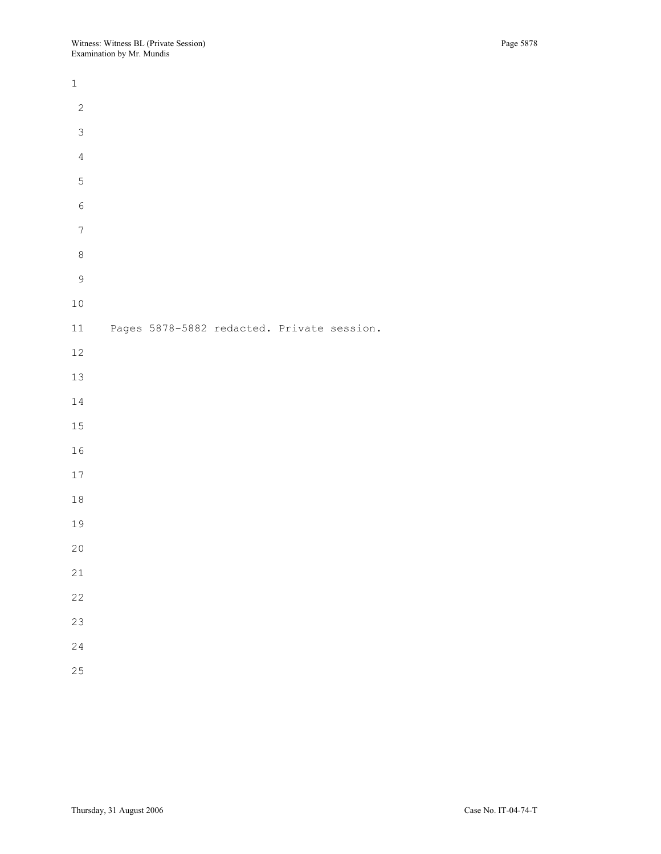| $\mathbbm{1}$    |                                            |  |  |  |
|------------------|--------------------------------------------|--|--|--|
| $\sqrt{2}$       |                                            |  |  |  |
| $\mathfrak{Z}$   |                                            |  |  |  |
| $\overline{4}$   |                                            |  |  |  |
| 5                |                                            |  |  |  |
| $\epsilon$       |                                            |  |  |  |
| $\boldsymbol{7}$ |                                            |  |  |  |
| $\,8\,$          |                                            |  |  |  |
| $\mathsf 9$      |                                            |  |  |  |
| $10\,$           |                                            |  |  |  |
| $11\,$           | Pages 5878-5882 redacted. Private session. |  |  |  |
| $12\,$           |                                            |  |  |  |
| 13               |                                            |  |  |  |
| 14               |                                            |  |  |  |
| $15\,$           |                                            |  |  |  |
| $1\,6$           |                                            |  |  |  |
| 17               |                                            |  |  |  |
| $1\,8$           |                                            |  |  |  |
| 19               |                                            |  |  |  |
| 20               |                                            |  |  |  |
| $2\sqrt{1}$      |                                            |  |  |  |
| 22               |                                            |  |  |  |
| 23               |                                            |  |  |  |
| 24               |                                            |  |  |  |
| 25               |                                            |  |  |  |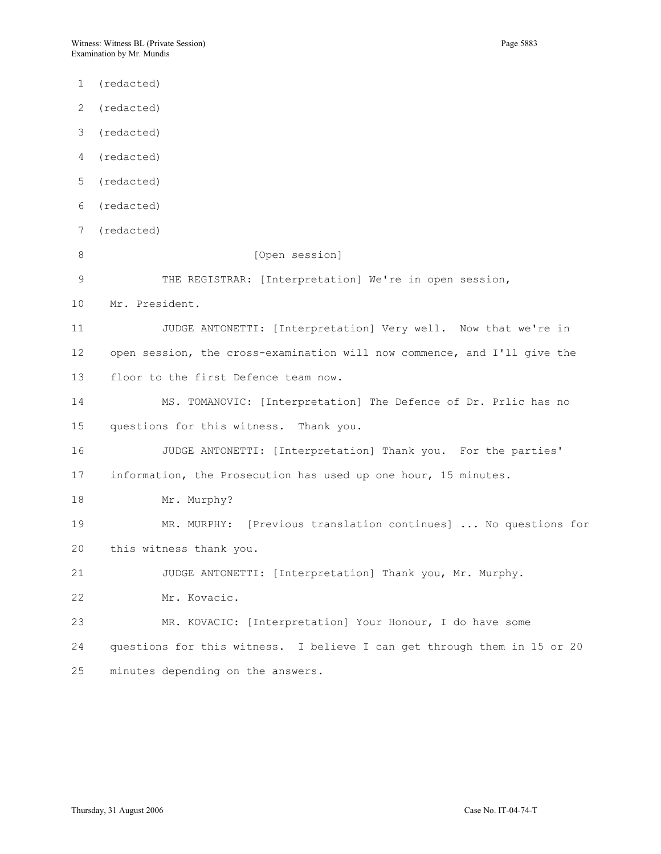1 (redacted) 2 (redacted) 3 (redacted) 4 (redacted) 5 (redacted) 6 (redacted) 7 (redacted) 8 [Open session] 9 THE REGISTRAR: [Interpretation] We're in open session, 10 Mr. President. 11 JUDGE ANTONETTI: [Interpretation] Very well. Now that we're in 12 open session, the cross-examination will now commence, and I'll give the 13 floor to the first Defence team now. 14 MS. TOMANOVIC: [Interpretation] The Defence of Dr. Prlic has no 15 questions for this witness. Thank you. 16 JUDGE ANTONETTI: [Interpretation] Thank you. For the parties' 17 information, the Prosecution has used up one hour, 15 minutes. 18 Mr. Murphy? 19 MR. MURPHY: [Previous translation continues] ... No questions for 20 this witness thank you. 21 JUDGE ANTONETTI: [Interpretation] Thank you, Mr. Murphy. 22 Mr. Kovacic. 23 MR. KOVACIC: [Interpretation] Your Honour, I do have some 24 questions for this witness. I believe I can get through them in 15 or 20 25 minutes depending on the answers.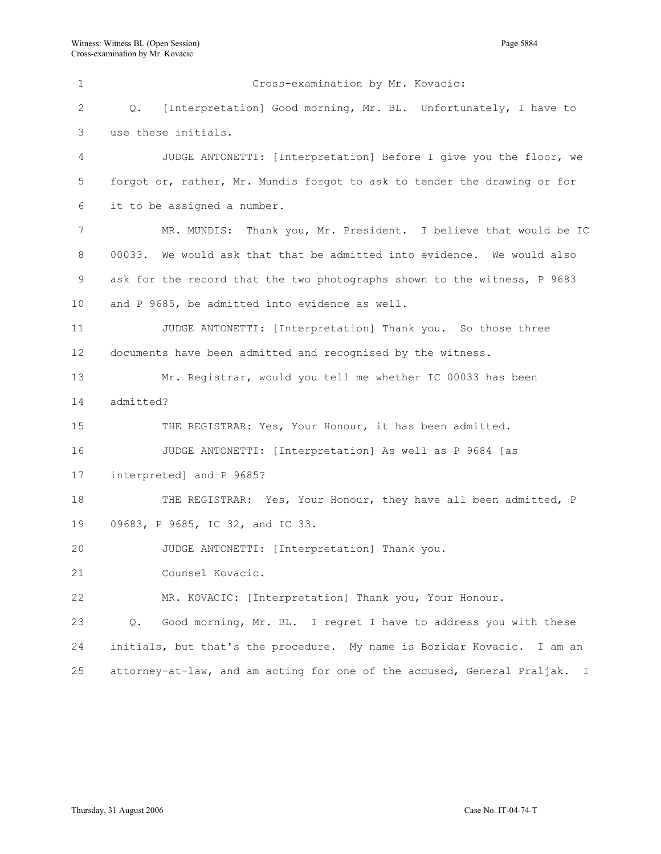1 Cross-examination by Mr. Kovacic: 2 Q. [Interpretation] Good morning, Mr. BL. Unfortunately, I have to 3 use these initials. 4 JUDGE ANTONETTI: [Interpretation] Before I give you the floor, we 5 forgot or, rather, Mr. Mundis forgot to ask to tender the drawing or for 6 it to be assigned a number. 7 MR. MUNDIS: Thank you, Mr. President. I believe that would be IC 8 00033. We would ask that that be admitted into evidence. We would also 9 ask for the record that the two photographs shown to the witness, P 9683 10 and P 9685, be admitted into evidence as well. 11 JUDGE ANTONETTI: [Interpretation] Thank you. So those three 12 documents have been admitted and recognised by the witness. 13 Mr. Registrar, would you tell me whether IC 00033 has been 14 admitted? 15 THE REGISTRAR: Yes, Your Honour, it has been admitted. 16 JUDGE ANTONETTI: [Interpretation] As well as P 9684 [as 17 interpreted] and P 9685? 18 THE REGISTRAR: Yes, Your Honour, they have all been admitted, P 19 09683, P 9685, IC 32, and IC 33. 20 JUDGE ANTONETTI: [Interpretation] Thank you. 21 Counsel Kovacic. 22 MR. KOVACIC: [Interpretation] Thank you, Your Honour. 23 Q. Good morning, Mr. BL. I regret I have to address you with these 24 initials, but that's the procedure. My name is Bozidar Kovacic. I am an 25 attorney-at-law, and am acting for one of the accused, General Praljak. I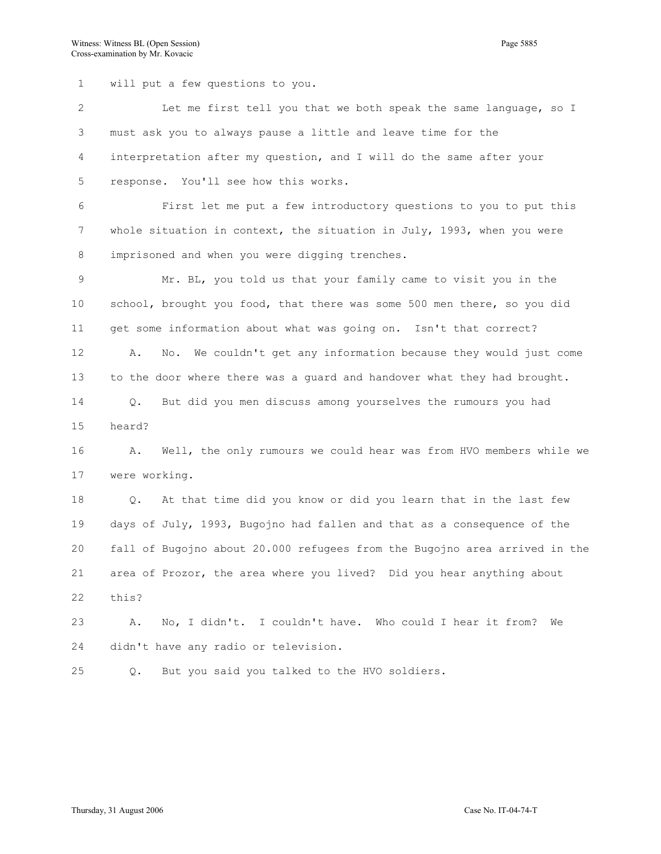1 will put a few questions to you.

2 Let me first tell you that we both speak the same language, so I 3 must ask you to always pause a little and leave time for the 4 interpretation after my question, and I will do the same after your 5 response. You'll see how this works.

6 First let me put a few introductory questions to you to put this 7 whole situation in context, the situation in July, 1993, when you were 8 imprisoned and when you were digging trenches.

9 Mr. BL, you told us that your family came to visit you in the 10 school, brought you food, that there was some 500 men there, so you did 11 get some information about what was going on. Isn't that correct? 12 A. No. We couldn't get any information because they would just come 13 to the door where there was a guard and handover what they had brought. 14 Q. But did you men discuss among yourselves the rumours you had

15 heard?

16 A. Well, the only rumours we could hear was from HVO members while we 17 were working.

18 Q. At that time did you know or did you learn that in the last few 19 days of July, 1993, Bugojno had fallen and that as a consequence of the 20 fall of Bugojno about 20.000 refugees from the Bugojno area arrived in the 21 area of Prozor, the area where you lived? Did you hear anything about 22 this?

23 A. No, I didn't. I couldn't have. Who could I hear it from? We 24 didn't have any radio or television.

25 Q. But you said you talked to the HVO soldiers.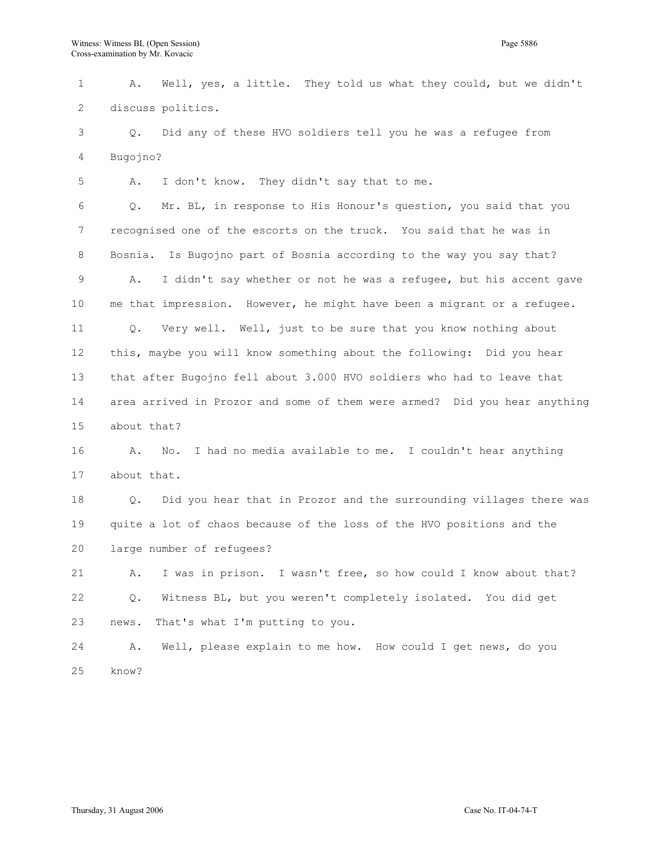1 A. Well, yes, a little. They told us what they could, but we didn't 2 discuss politics. 3 Q. Did any of these HVO soldiers tell you he was a refugee from 4 Bugojno? 5 A. I don't know. They didn't say that to me. 6 Q. Mr. BL, in response to His Honour's question, you said that you 7 recognised one of the escorts on the truck. You said that he was in 8 Bosnia. Is Bugojno part of Bosnia according to the way you say that? 9 A. I didn't say whether or not he was a refugee, but his accent gave 10 me that impression. However, he might have been a migrant or a refugee. 11 Q. Very well. Well, just to be sure that you know nothing about 12 this, maybe you will know something about the following: Did you hear 13 that after Bugojno fell about 3.000 HVO soldiers who had to leave that 14 area arrived in Prozor and some of them were armed? Did you hear anything 15 about that? 16 A. No. I had no media available to me. I couldn't hear anything 17 about that. 18 Q. Did you hear that in Prozor and the surrounding villages there was 19 quite a lot of chaos because of the loss of the HVO positions and the 20 large number of refugees? 21 A. I was in prison. I wasn't free, so how could I know about that? 22 Q. Witness BL, but you weren't completely isolated. You did get 23 news. That's what I'm putting to you. 24 A. Well, please explain to me how. How could I get news, do you 25 know?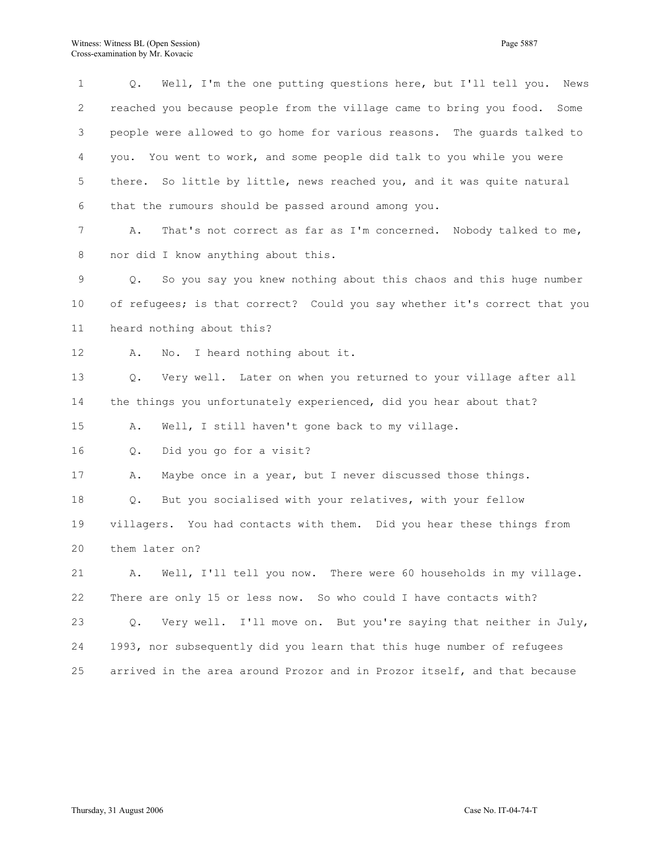1 Q. Well, I'm the one putting questions here, but I'll tell you. News 2 reached you because people from the village came to bring you food. Some 3 people were allowed to go home for various reasons. The guards talked to 4 you. You went to work, and some people did talk to you while you were 5 there. So little by little, news reached you, and it was quite natural 6 that the rumours should be passed around among you. 7 A. That's not correct as far as I'm concerned. Nobody talked to me, 8 nor did I know anything about this. 9 Q. So you say you knew nothing about this chaos and this huge number 10 of refugees; is that correct? Could you say whether it's correct that you 11 heard nothing about this? 12 A. No. I heard nothing about it. 13 Q. Very well. Later on when you returned to your village after all 14 the things you unfortunately experienced, did you hear about that? 15 A. Well, I still haven't gone back to my village. 16 Q. Did you go for a visit? 17 A. Maybe once in a year, but I never discussed those things. 18 Q. But you socialised with your relatives, with your fellow 19 villagers. You had contacts with them. Did you hear these things from 20 them later on? 21 A. Well, I'll tell you now. There were 60 households in my village. 22 There are only 15 or less now. So who could I have contacts with? 23 Q. Very well. I'll move on. But you're saying that neither in July, 24 1993, nor subsequently did you learn that this huge number of refugees 25 arrived in the area around Prozor and in Prozor itself, and that because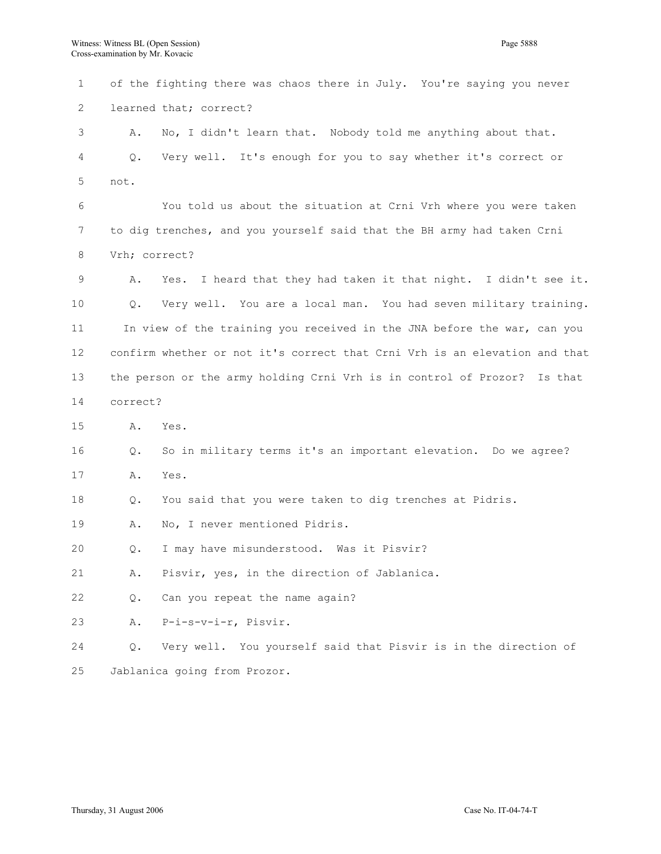1 of the fighting there was chaos there in July. You're saying you never 2 learned that; correct? 3 A. No, I didn't learn that. Nobody told me anything about that. 4 Q. Very well. It's enough for you to say whether it's correct or 5 not. 6 You told us about the situation at Crni Vrh where you were taken 7 to dig trenches, and you yourself said that the BH army had taken Crni 8 Vrh; correct? 9 A. Yes. I heard that they had taken it that night. I didn't see it. 10 Q. Very well. You are a local man. You had seven military training. 11 In view of the training you received in the JNA before the war, can you 12 confirm whether or not it's correct that Crni Vrh is an elevation and that 13 the person or the army holding Crni Vrh is in control of Prozor? Is that 14 correct? 15 A. Yes. 16 Q. So in military terms it's an important elevation. Do we agree? 17 A. Yes. 18 Q. You said that you were taken to dig trenches at Pidris. 19 A. No, I never mentioned Pidris. 20 Q. I may have misunderstood. Was it Pisvir? 21 A. Pisvir, yes, in the direction of Jablanica. 22 Q. Can you repeat the name again? 23 A. P-i-s-v-i-r, Pisvir. 24 Q. Very well. You yourself said that Pisvir is in the direction of 25 Jablanica going from Prozor.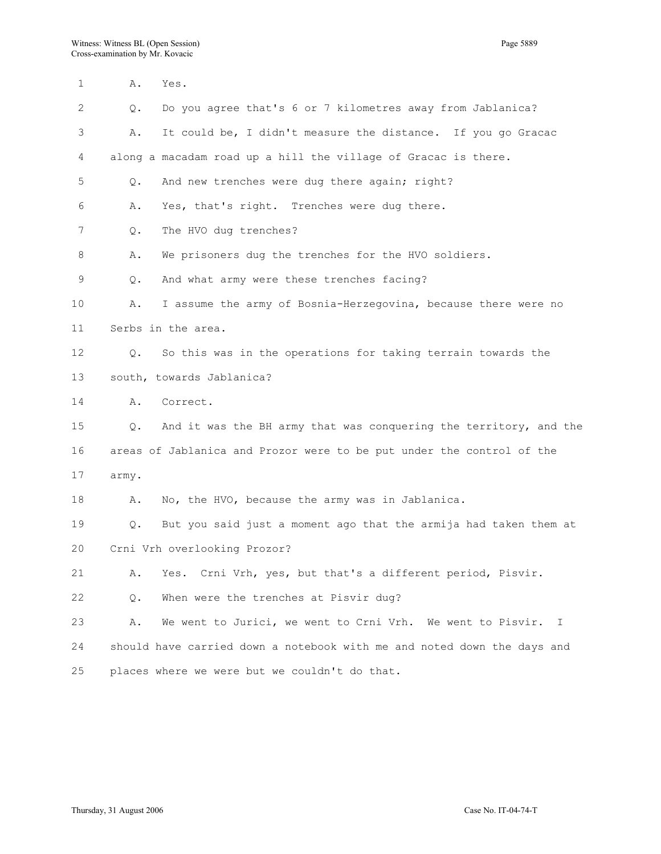1 A. Yes. 2 Q. Do you agree that's 6 or 7 kilometres away from Jablanica? 3 A. It could be, I didn't measure the distance. If you go Gracac 4 along a macadam road up a hill the village of Gracac is there. 5 Q. And new trenches were dug there again; right? 6 A. Yes, that's right. Trenches were dug there. 7 Q. The HVO dug trenches? 8 A. We prisoners dug the trenches for the HVO soldiers. 9 Q. And what army were these trenches facing? 10 A. I assume the army of Bosnia-Herzegovina, because there were no 11 Serbs in the area. 12 Q. So this was in the operations for taking terrain towards the 13 south, towards Jablanica? 14 A. Correct. 15 Q. And it was the BH army that was conquering the territory, and the 16 areas of Jablanica and Prozor were to be put under the control of the 17 army. 18 A. No, the HVO, because the army was in Jablanica. 19 Q. But you said just a moment ago that the armija had taken them at 20 Crni Vrh overlooking Prozor? 21 A. Yes. Crni Vrh, yes, but that's a different period, Pisvir. 22 Q. When were the trenches at Pisvir dug? 23 A. We went to Jurici, we went to Crni Vrh. We went to Pisvir. I 24 should have carried down a notebook with me and noted down the days and 25 places where we were but we couldn't do that.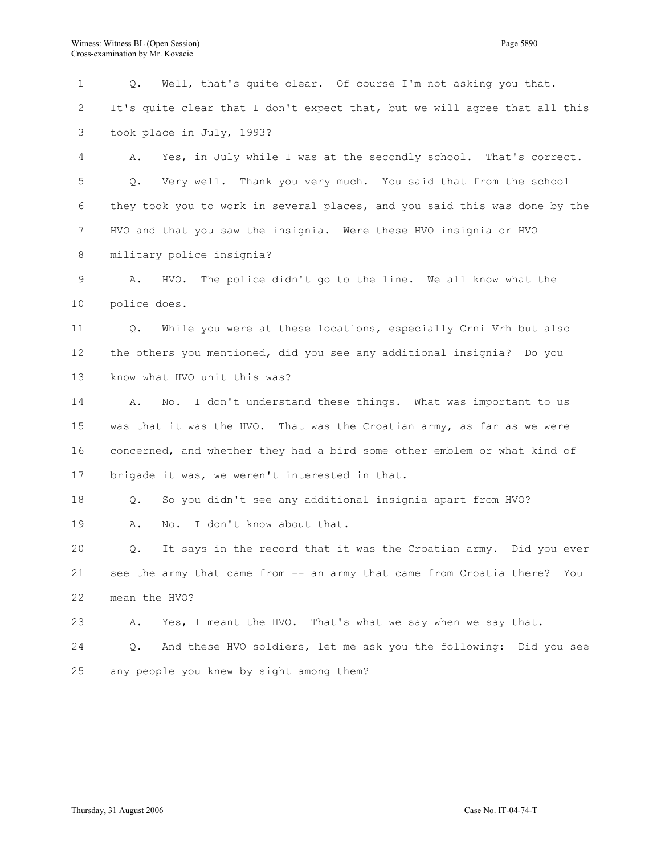| 1  | Q.            | Well, that's quite clear. Of course I'm not asking you that.               |
|----|---------------|----------------------------------------------------------------------------|
| 2  |               | It's quite clear that I don't expect that, but we will agree that all this |
| 3  |               | took place in July, 1993?                                                  |
| 4  | Α.            | Yes, in July while I was at the secondly school. That's correct.           |
| 5  | Q.            | Very well. Thank you very much. You said that from the school              |
| 6  |               | they took you to work in several places, and you said this was done by the |
| 7  |               | HVO and that you saw the insignia. Were these HVO insignia or HVO          |
| 8  |               | military police insignia?                                                  |
| 9  | Α.            | The police didn't go to the line. We all know what the<br>HVO.             |
| 10 | police does.  |                                                                            |
| 11 | $Q_{\bullet}$ | While you were at these locations, especially Crni Vrh but also            |
| 12 |               | the others you mentioned, did you see any additional insignia? Do you      |
| 13 |               | know what HVO unit this was?                                               |
| 14 | Α.            | I don't understand these things. What was important to us<br>No.           |
| 15 |               | was that it was the HVO. That was the Croatian army, as far as we were     |
| 16 |               | concerned, and whether they had a bird some other emblem or what kind of   |
| 17 |               | brigade it was, we weren't interested in that.                             |
| 18 | $Q$ .         | So you didn't see any additional insignia apart from HVO?                  |
| 19 | Α.            | I don't know about that.<br>No.                                            |
| 20 | Q.            | It says in the record that it was the Croatian army. Did you ever          |
| 21 |               | see the army that came from -- an army that came from Croatia there? You   |
| 22 | mean the HVO? |                                                                            |
| 23 | Α.            | Yes, I meant the HVO. That's what we say when we say that.                 |
| 24 | Q.            | And these HVO soldiers, let me ask you the following: Did you see          |
| 25 |               | any people you knew by sight among them?                                   |
|    |               |                                                                            |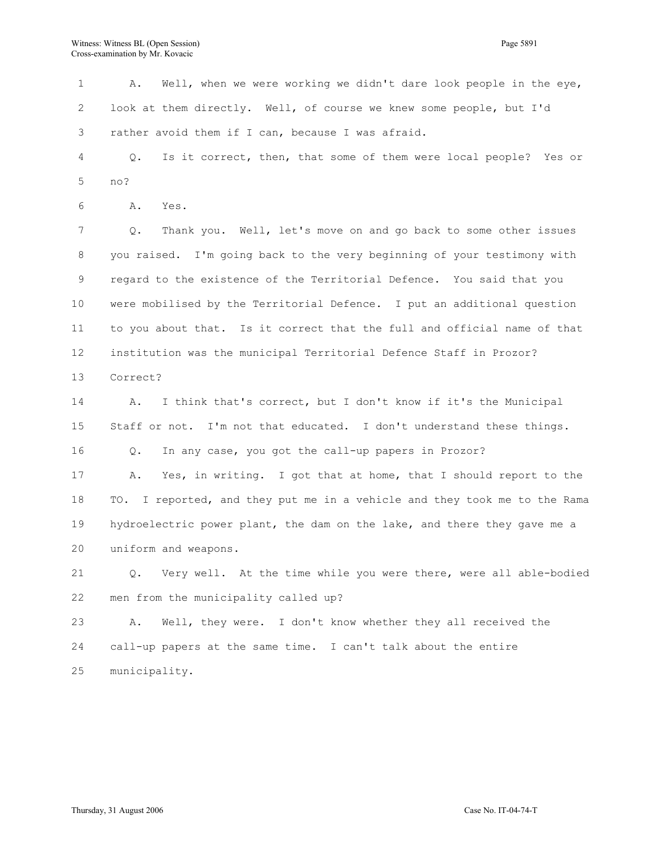1 A. Well, when we were working we didn't dare look people in the eye, 2 look at them directly. Well, of course we knew some people, but I'd 3 rather avoid them if I can, because I was afraid. 4 Q. Is it correct, then, that some of them were local people? Yes or 5 no? 6 A. Yes. 7 Q. Thank you. Well, let's move on and go back to some other issues 8 you raised. I'm going back to the very beginning of your testimony with 9 regard to the existence of the Territorial Defence. You said that you 10 were mobilised by the Territorial Defence. I put an additional question 11 to you about that. Is it correct that the full and official name of that 12 institution was the municipal Territorial Defence Staff in Prozor? 13 Correct? 14 A. I think that's correct, but I don't know if it's the Municipal 15 Staff or not. I'm not that educated. I don't understand these things. 16 Q. In any case, you got the call-up papers in Prozor? 17 A. Yes, in writing. I got that at home, that I should report to the 18 TO. I reported, and they put me in a vehicle and they took me to the Rama 19 hydroelectric power plant, the dam on the lake, and there they gave me a 20 uniform and weapons. 21 Q. Very well. At the time while you were there, were all able-bodied 22 men from the municipality called up? 23 A. Well, they were. I don't know whether they all received the 24 call-up papers at the same time. I can't talk about the entire 25 municipality.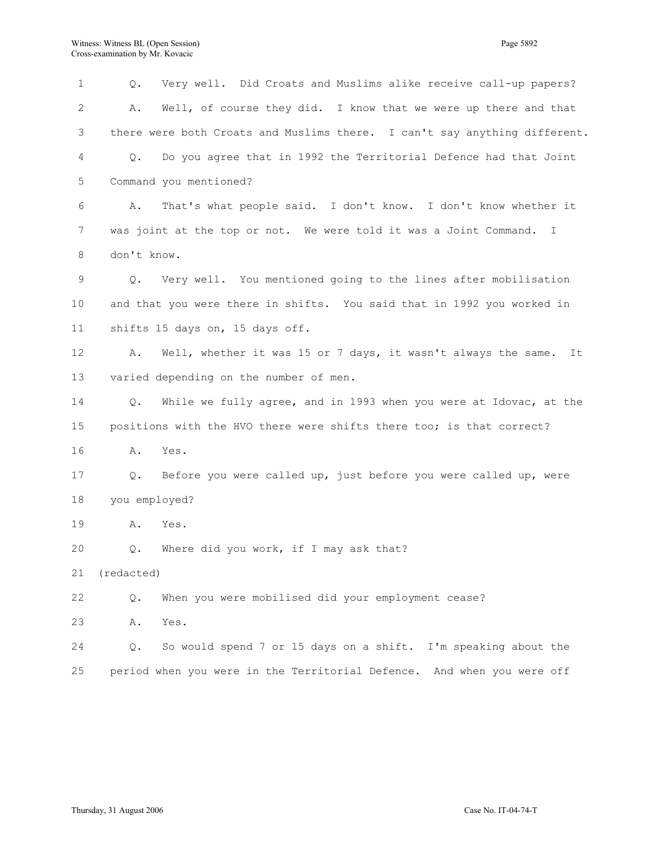| 1  | $Q$ .         | Very well. Did Croats and Muslims alike receive call-up papers?           |
|----|---------------|---------------------------------------------------------------------------|
| 2  | Α.            | Well, of course they did. I know that we were up there and that           |
| 3  |               | there were both Croats and Muslims there. I can't say anything different. |
| 4  | Q.            | Do you agree that in 1992 the Territorial Defence had that Joint          |
| 5  |               | Command you mentioned?                                                    |
| 6  | Α.            | That's what people said. I don't know. I don't know whether it            |
| 7  |               | was joint at the top or not. We were told it was a Joint Command. I       |
| 8  | don't know.   |                                                                           |
| 9  | $Q_{\bullet}$ | Very well. You mentioned going to the lines after mobilisation            |
| 10 |               | and that you were there in shifts. You said that in 1992 you worked in    |
| 11 |               | shifts 15 days on, 15 days off.                                           |
| 12 | Α.            | Well, whether it was 15 or 7 days, it wasn't always the same.<br>It       |
| 13 |               | varied depending on the number of men.                                    |
| 14 | Q.            | While we fully agree, and in 1993 when you were at Idovac, at the         |
| 15 |               | positions with the HVO there were shifts there too; is that correct?      |
| 16 | Α.            | Yes.                                                                      |
| 17 | Q.            | Before you were called up, just before you were called up, were           |
| 18 | you employed? |                                                                           |
| 19 | Α.            | Yes.                                                                      |
| 20 | Q.            | Where did you work, if I may ask that?                                    |
| 21 | (redacted)    |                                                                           |
| 22 | $Q$ .         | When you were mobilised did your employment cease?                        |
| 23 | Α.            | Yes.                                                                      |
| 24 | Q.            | So would spend 7 or 15 days on a shift. I'm speaking about the            |
| 25 |               | period when you were in the Territorial Defence. And when you were off    |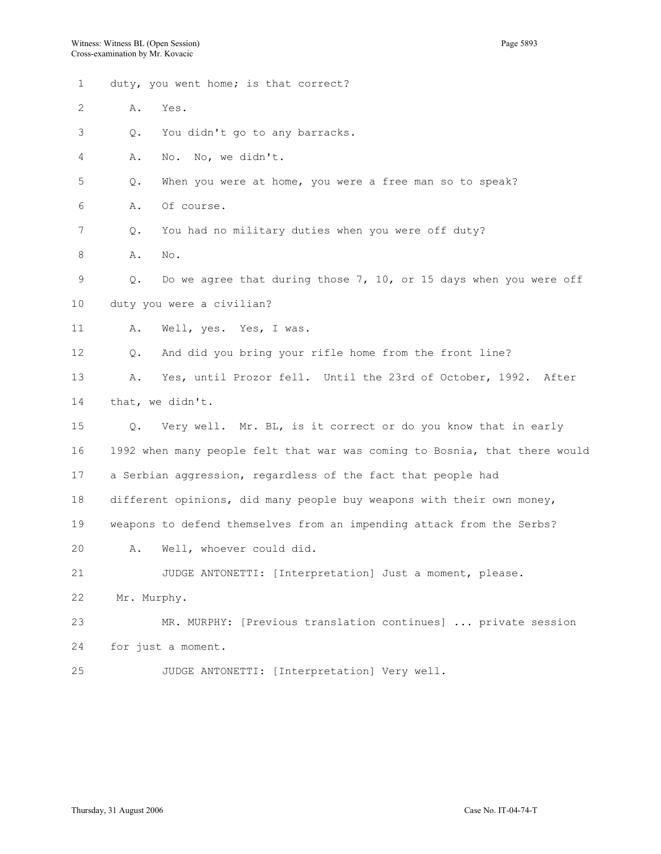| $\mathbf{1}$ |       | duty, you went home; is that correct?                                      |
|--------------|-------|----------------------------------------------------------------------------|
| 2            | Α.    | Yes.                                                                       |
| 3            | Q.    | You didn't go to any barracks.                                             |
| 4            | Α.    | No. No, we didn't.                                                         |
| 5            | Q.    | When you were at home, you were a free man so to speak?                    |
| 6            | Α.    | Of course.                                                                 |
| 7            | Q.    | You had no military duties when you were off duty?                         |
| 8            | Α.    | No.                                                                        |
| 9            | Q.    | Do we agree that during those 7, 10, or 15 days when you were off          |
| 10           |       | duty you were a civilian?                                                  |
| 11           | Α.    | Well, yes. Yes, I was.                                                     |
| 12           | $Q$ . | And did you bring your rifle home from the front line?                     |
| 13           | Α.    | Yes, until Prozor fell. Until the 23rd of October, 1992. After             |
| 14           |       | that, we didn't.                                                           |
| 15           | Q.    | Very well. Mr. BL, is it correct or do you know that in early              |
| 16           |       | 1992 when many people felt that war was coming to Bosnia, that there would |
| 17           |       | a Serbian aggression, regardless of the fact that people had               |
| 18           |       | different opinions, did many people buy weapons with their own money,      |
| 19           |       | weapons to defend themselves from an impending attack from the Serbs?      |
| 20           | Α.    | Well, whoever could did.                                                   |
| 21           |       | JUDGE ANTONETTI: [Interpretation] Just a moment, please.                   |
| 22           |       | Mr. Murphy.                                                                |
| 23           |       | MR. MURPHY: [Previous translation continues]  private session              |
| 24           |       | for just a moment.                                                         |
|              |       |                                                                            |

25 JUDGE ANTONETTI: [Interpretation] Very well.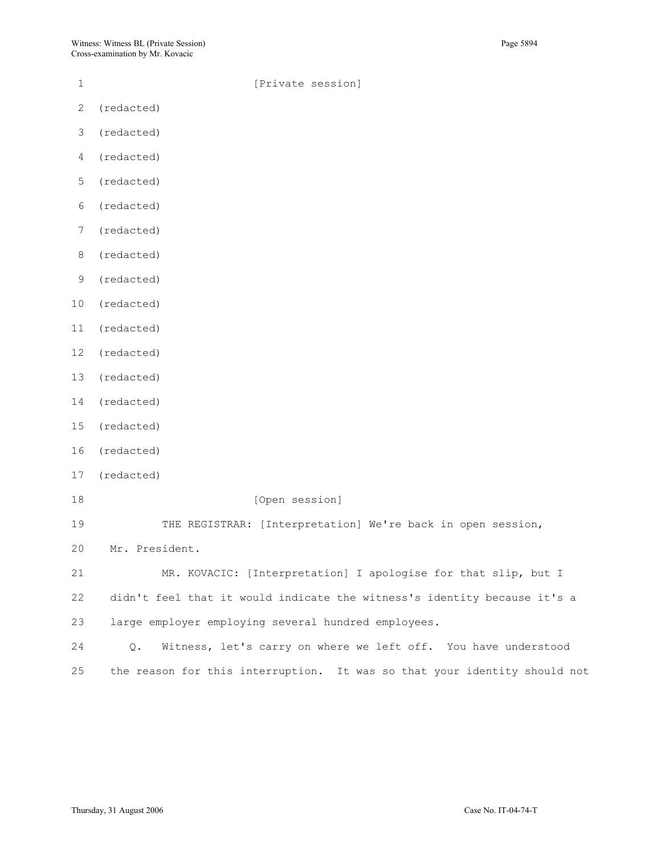| $\mathbf{1}$ | [Private session]                                                         |
|--------------|---------------------------------------------------------------------------|
| 2            | (redacted)                                                                |
| 3            | (redacted)                                                                |
| 4            | (redacted)                                                                |
| 5            | (redacted)                                                                |
| 6            | (redacted)                                                                |
| 7            | (redacted)                                                                |
| 8            | (redacted)                                                                |
| 9            | (redacted)                                                                |
| 10           | (redacted)                                                                |
| 11           | (redacted)                                                                |
| 12           | (redacted)                                                                |
| 13           | (redacted)                                                                |
| 14           | (redacted)                                                                |
| 15           | (redacted)                                                                |
| 16           | (redacted)                                                                |
| 17           | (redacted)                                                                |
| 18           | [Open session]                                                            |
| 19           | THE REGISTRAR: [Interpretation] We're back in open session,               |
| 20           | Mr. President.                                                            |
| 21           | MR. KOVACIC: [Interpretation] I apologise for that slip, but I            |
| 22           | didn't feel that it would indicate the witness's identity because it's a  |
| 23           | large employer employing several hundred employees.                       |
| 24           | Witness, let's carry on where we left off. You have understood<br>Q.      |
| 25           | the reason for this interruption. It was so that your identity should not |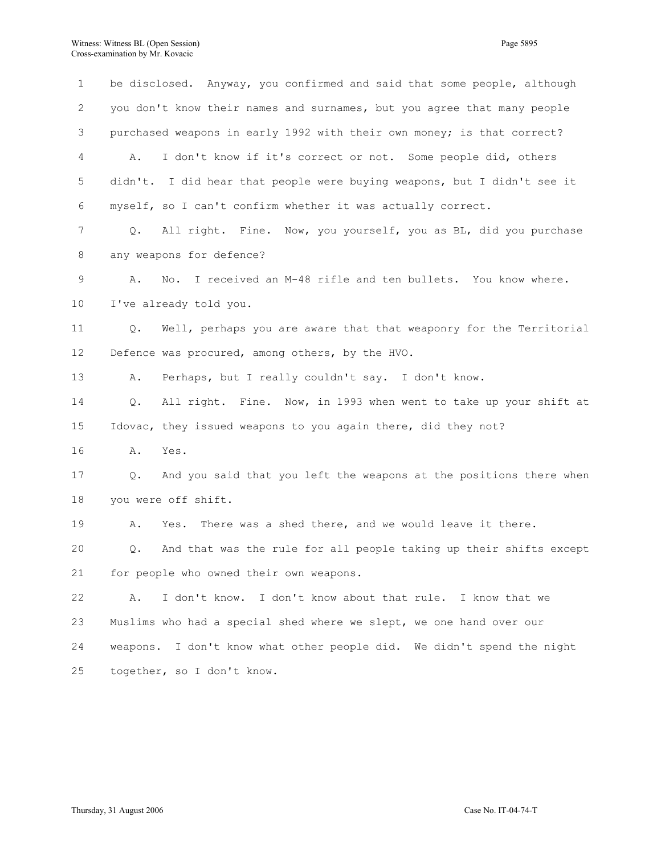1 be disclosed. Anyway, you confirmed and said that some people, although 2 you don't know their names and surnames, but you agree that many people 3 purchased weapons in early 1992 with their own money; is that correct? 4 A. I don't know if it's correct or not. Some people did, others 5 didn't. I did hear that people were buying weapons, but I didn't see it 6 myself, so I can't confirm whether it was actually correct. 7 Q. All right. Fine. Now, you yourself, you as BL, did you purchase 8 any weapons for defence? 9 A. No. I received an M-48 rifle and ten bullets. You know where. 10 I've already told you. 11 Q. Well, perhaps you are aware that that weaponry for the Territorial 12 Defence was procured, among others, by the HVO. 13 A. Perhaps, but I really couldn't say. I don't know. 14 Q. All right. Fine. Now, in 1993 when went to take up your shift at 15 Idovac, they issued weapons to you again there, did they not? 16 A. Yes. 17 Q. And you said that you left the weapons at the positions there when 18 you were off shift. 19 A. Yes. There was a shed there, and we would leave it there. 20 Q. And that was the rule for all people taking up their shifts except 21 for people who owned their own weapons. 22 A. I don't know. I don't know about that rule. I know that we 23 Muslims who had a special shed where we slept, we one hand over our 24 weapons. I don't know what other people did. We didn't spend the night 25 together, so I don't know.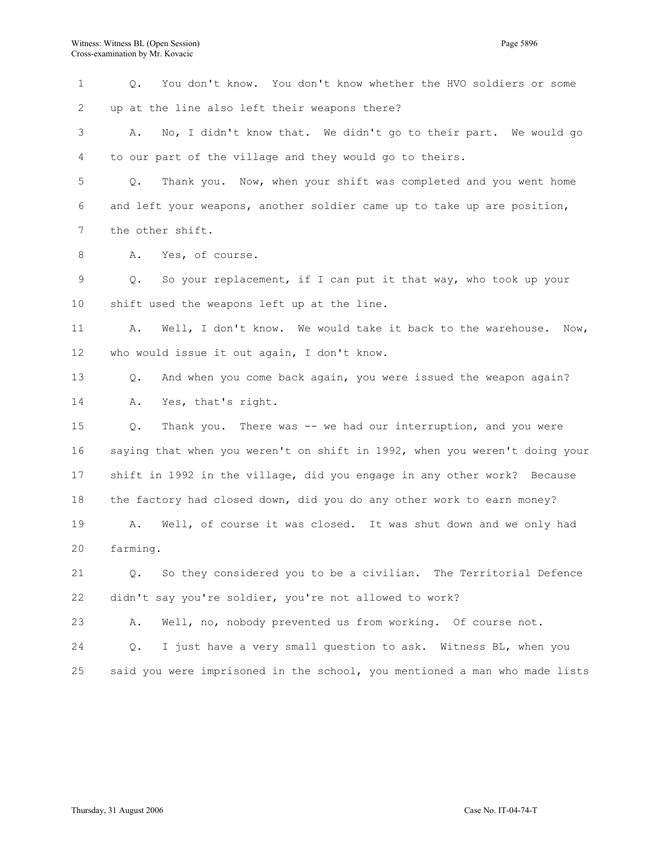1 Q. You don't know. You don't know whether the HVO soldiers or some 2 up at the line also left their weapons there? 3 A. No, I didn't know that. We didn't go to their part. We would go 4 to our part of the village and they would go to theirs. 5 Q. Thank you. Now, when your shift was completed and you went home 6 and left your weapons, another soldier came up to take up are position, 7 the other shift. 8 A. Yes, of course. 9 Q. So your replacement, if I can put it that way, who took up your 10 shift used the weapons left up at the line. 11 A. Well, I don't know. We would take it back to the warehouse. Now, 12 who would issue it out again, I don't know. 13 Q. And when you come back again, you were issued the weapon again? 14 A. Yes, that's right. 15 Q. Thank you. There was -- we had our interruption, and you were 16 saying that when you weren't on shift in 1992, when you weren't doing your 17 shift in 1992 in the village, did you engage in any other work? Because 18 the factory had closed down, did you do any other work to earn money? 19 A. Well, of course it was closed. It was shut down and we only had 20 farming. 21 Q. So they considered you to be a civilian. The Territorial Defence 22 didn't say you're soldier, you're not allowed to work? 23 A. Well, no, nobody prevented us from working. Of course not. 24 Q. I just have a very small question to ask. Witness BL, when you 25 said you were imprisoned in the school, you mentioned a man who made lists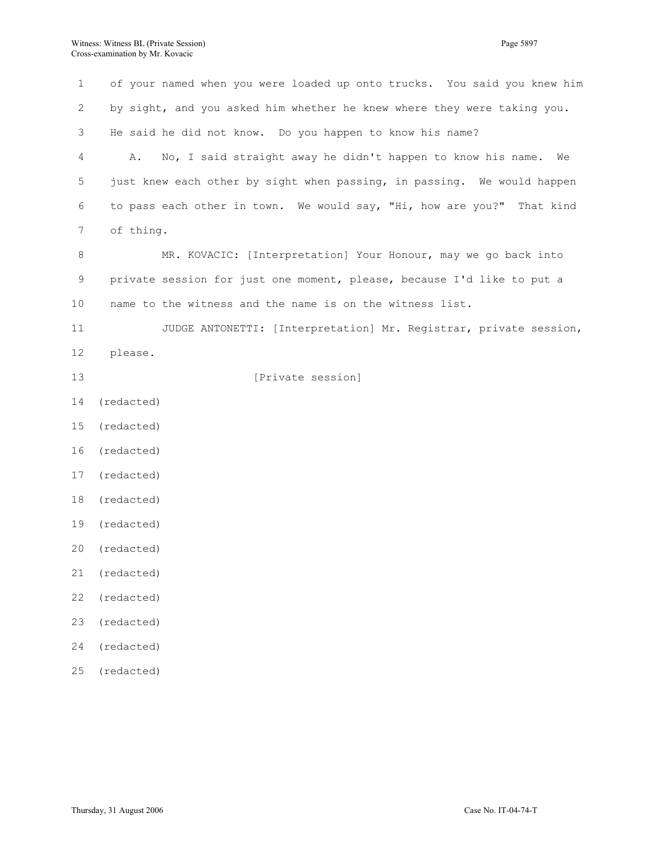1 of your named when you were loaded up onto trucks. You said you knew him 2 by sight, and you asked him whether he knew where they were taking you. 3 He said he did not know. Do you happen to know his name? 4 A. No, I said straight away he didn't happen to know his name. We 5 just knew each other by sight when passing, in passing. We would happen 6 to pass each other in town. We would say, "Hi, how are you?" That kind 7 of thing. 8 MR. KOVACIC: [Interpretation] Your Honour, may we go back into 9 private session for just one moment, please, because I'd like to put a 10 name to the witness and the name is on the witness list. 11 JUDGE ANTONETTI: [Interpretation] Mr. Registrar, private session, 12 please. 13 *Department* [Private session] 14 (redacted) 15 (redacted) 16 (redacted) 17 (redacted) 18 (redacted) 19 (redacted) 20 (redacted) 21 (redacted) 22 (redacted) 23 (redacted) 24 (redacted) 25 (redacted)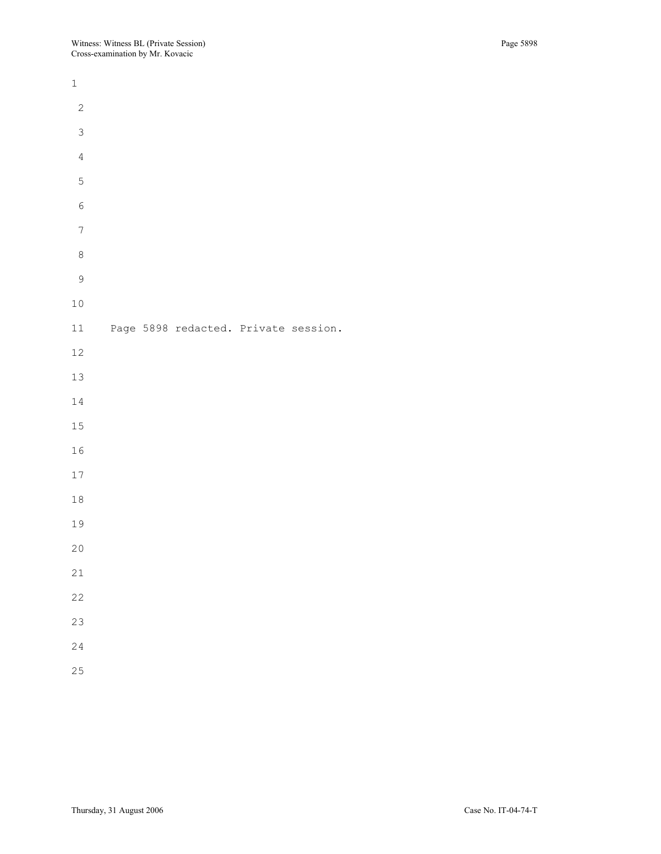| $\mathbbm{1}$            |  |                                      |  |  |  |
|--------------------------|--|--------------------------------------|--|--|--|
| $\sqrt{2}$               |  |                                      |  |  |  |
| $\mathfrak{Z}$           |  |                                      |  |  |  |
| $\sqrt{4}$               |  |                                      |  |  |  |
| $\mathbf 5$              |  |                                      |  |  |  |
| $\epsilon$               |  |                                      |  |  |  |
| $\overline{\phantom{a}}$ |  |                                      |  |  |  |
| $\,8\,$                  |  |                                      |  |  |  |
| $\mathsf 9$              |  |                                      |  |  |  |
| $1\,0$                   |  |                                      |  |  |  |
| $11\,$                   |  | Page 5898 redacted. Private session. |  |  |  |
| $12\,$                   |  |                                      |  |  |  |
| $13\,$                   |  |                                      |  |  |  |
| $1\,4$                   |  |                                      |  |  |  |
| $15\,$                   |  |                                      |  |  |  |
| $16\,$                   |  |                                      |  |  |  |
| $17\,$                   |  |                                      |  |  |  |
| $1\,8$                   |  |                                      |  |  |  |
| 19                       |  |                                      |  |  |  |
| $20$                     |  |                                      |  |  |  |
| $2\sqrt{1}$              |  |                                      |  |  |  |
| 22                       |  |                                      |  |  |  |
| 23                       |  |                                      |  |  |  |
| 24                       |  |                                      |  |  |  |
| 25                       |  |                                      |  |  |  |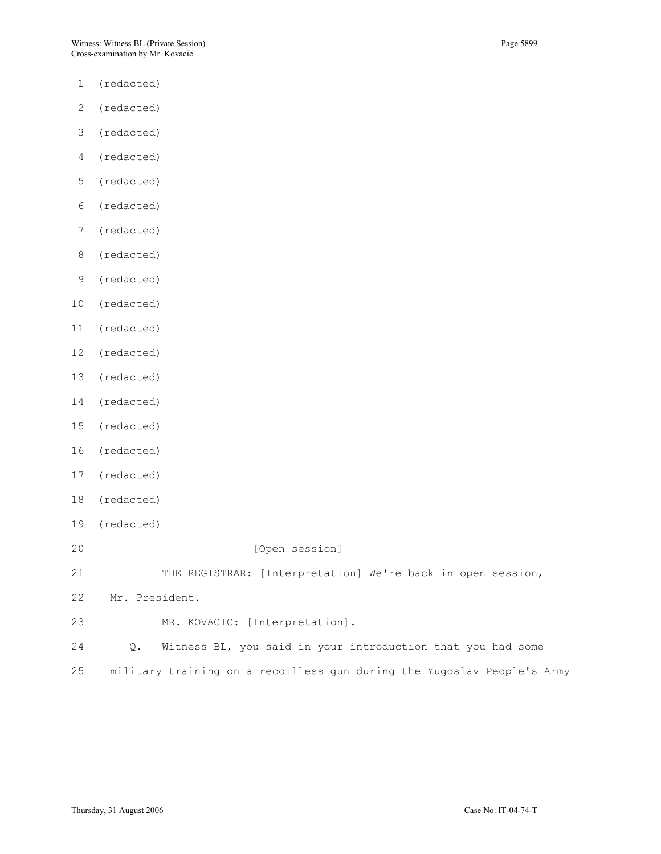- 1 (redacted)
- 2 (redacted)
- 3 (redacted)
- 4 (redacted)
- 5 (redacted)
- 6 (redacted)
- 7 (redacted)
- 8 (redacted)
- 9 (redacted)
- 10 (redacted)
- 11 (redacted)
- 12 (redacted)
- 13 (redacted)
- 14 (redacted)
- 15 (redacted)
- 16 (redacted)
- 17 (redacted)
- 18 (redacted)
- 19 (redacted)
- 20 [Open session]
- 21 THE REGISTRAR: [Interpretation] We're back in open session,
- 22 Mr. President.
- 23 MR. KOVACIC: [Interpretation].
- 24 Q. Witness BL, you said in your introduction that you had some 25 military training on a recoilless gun during the Yugoslav People's Army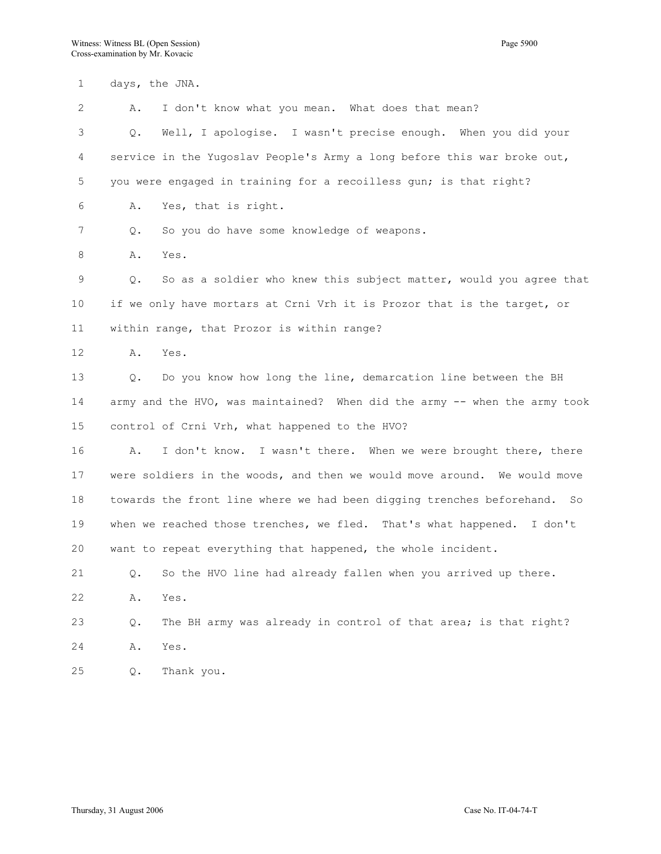1 days, the JNA. 2 A. I don't know what you mean. What does that mean? 3 Q. Well, I apologise. I wasn't precise enough. When you did your 4 service in the Yugoslav People's Army a long before this war broke out, 5 you were engaged in training for a recoilless gun; is that right? 6 A. Yes, that is right. 7 Q. So you do have some knowledge of weapons. 8 A. Yes. 9 Q. So as a soldier who knew this subject matter, would you agree that 10 if we only have mortars at Crni Vrh it is Prozor that is the target, or 11 within range, that Prozor is within range? 12 A. Yes. 13 Q. Do you know how long the line, demarcation line between the BH 14 army and the HVO, was maintained? When did the army -- when the army took 15 control of Crni Vrh, what happened to the HVO? 16 A. I don't know. I wasn't there. When we were brought there, there 17 were soldiers in the woods, and then we would move around. We would move 18 towards the front line where we had been digging trenches beforehand. So 19 when we reached those trenches, we fled. That's what happened. I don't 20 want to repeat everything that happened, the whole incident. 21 Q. So the HVO line had already fallen when you arrived up there. 22 A. Yes. 23 Q. The BH army was already in control of that area; is that right? 24 A. Yes. 25 Q. Thank you.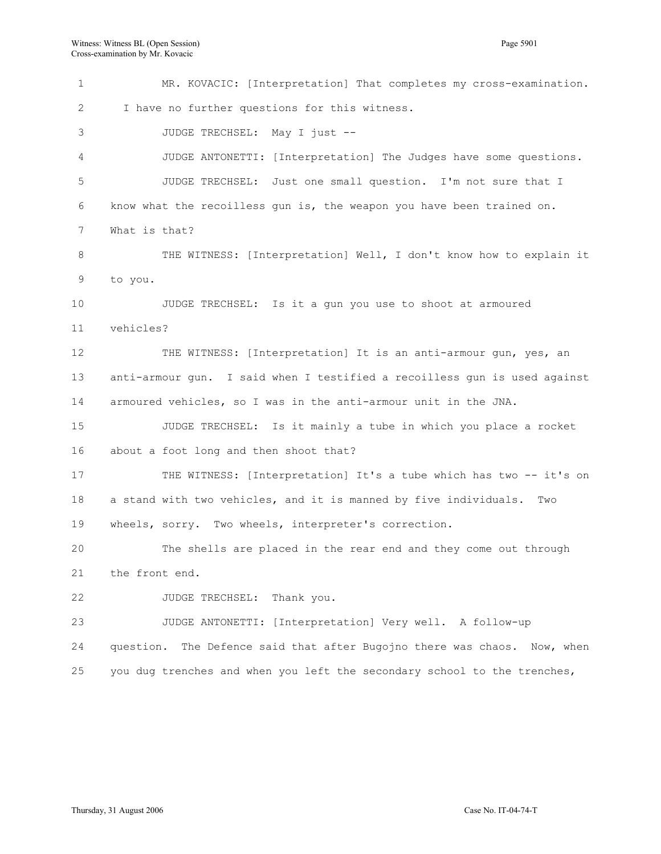1 MR. KOVACIC: [Interpretation] That completes my cross-examination. 2 I have no further questions for this witness. 3 JUDGE TRECHSEL: May I just -- 4 JUDGE ANTONETTI: [Interpretation] The Judges have some questions. 5 JUDGE TRECHSEL: Just one small question. I'm not sure that I 6 know what the recoilless gun is, the weapon you have been trained on. 7 What is that? 8 THE WITNESS: [Interpretation] Well, I don't know how to explain it 9 to you. 10 JUDGE TRECHSEL: Is it a gun you use to shoot at armoured 11 vehicles? 12 THE WITNESS: [Interpretation] It is an anti-armour gun, yes, an 13 anti-armour gun. I said when I testified a recoilless gun is used against 14 armoured vehicles, so I was in the anti-armour unit in the JNA. 15 JUDGE TRECHSEL: Is it mainly a tube in which you place a rocket 16 about a foot long and then shoot that? 17 THE WITNESS: [Interpretation] It's a tube which has two -- it's on 18 a stand with two vehicles, and it is manned by five individuals. Two 19 wheels, sorry. Two wheels, interpreter's correction. 20 The shells are placed in the rear end and they come out through 21 the front end. 22 JUDGE TRECHSEL: Thank you. 23 JUDGE ANTONETTI: [Interpretation] Very well. A follow-up 24 question. The Defence said that after Bugojno there was chaos. Now, when 25 you dug trenches and when you left the secondary school to the trenches,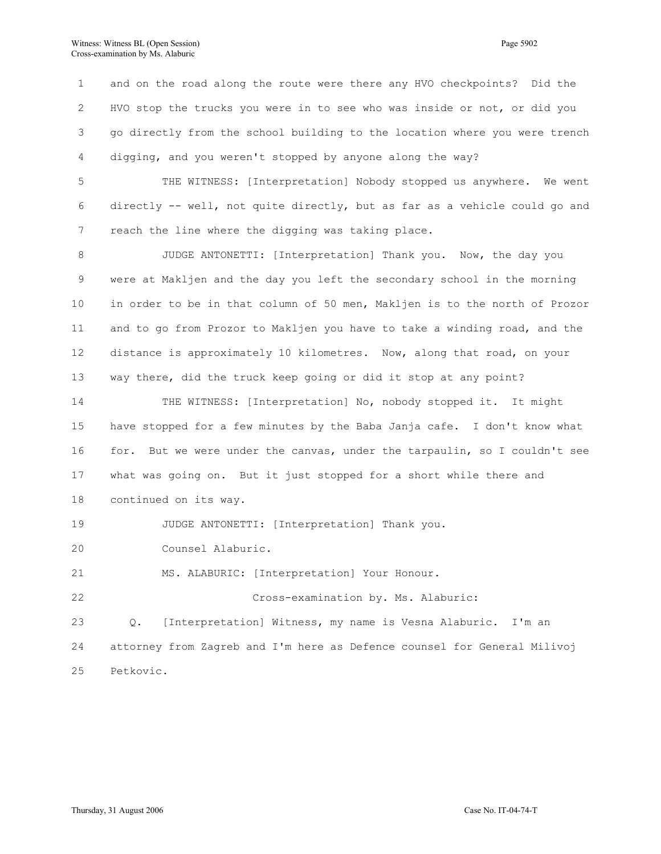1 and on the road along the route were there any HVO checkpoints? Did the 2 HVO stop the trucks you were in to see who was inside or not, or did you 3 go directly from the school building to the location where you were trench 4 digging, and you weren't stopped by anyone along the way?

5 THE WITNESS: [Interpretation] Nobody stopped us anywhere. We went 6 directly -- well, not quite directly, but as far as a vehicle could go and 7 reach the line where the digging was taking place.

8 JUDGE ANTONETTI: [Interpretation] Thank you. Now, the day you 9 were at Makljen and the day you left the secondary school in the morning 10 in order to be in that column of 50 men, Makljen is to the north of Prozor 11 and to go from Prozor to Makljen you have to take a winding road, and the 12 distance is approximately 10 kilometres. Now, along that road, on your 13 way there, did the truck keep going or did it stop at any point?

14 THE WITNESS: [Interpretation] No, nobody stopped it. It might 15 have stopped for a few minutes by the Baba Janja cafe. I don't know what 16 for. But we were under the canvas, under the tarpaulin, so I couldn't see 17 what was going on. But it just stopped for a short while there and 18 continued on its way.

19 JUDGE ANTONETTI: [Interpretation] Thank you.

20 Counsel Alaburic.

21 MS. ALABURIC: [Interpretation] Your Honour.

22 Cross-examination by. Ms. Alaburic:

23 Q. [Interpretation] Witness, my name is Vesna Alaburic. I'm an 24 attorney from Zagreb and I'm here as Defence counsel for General Milivoj 25 Petkovic.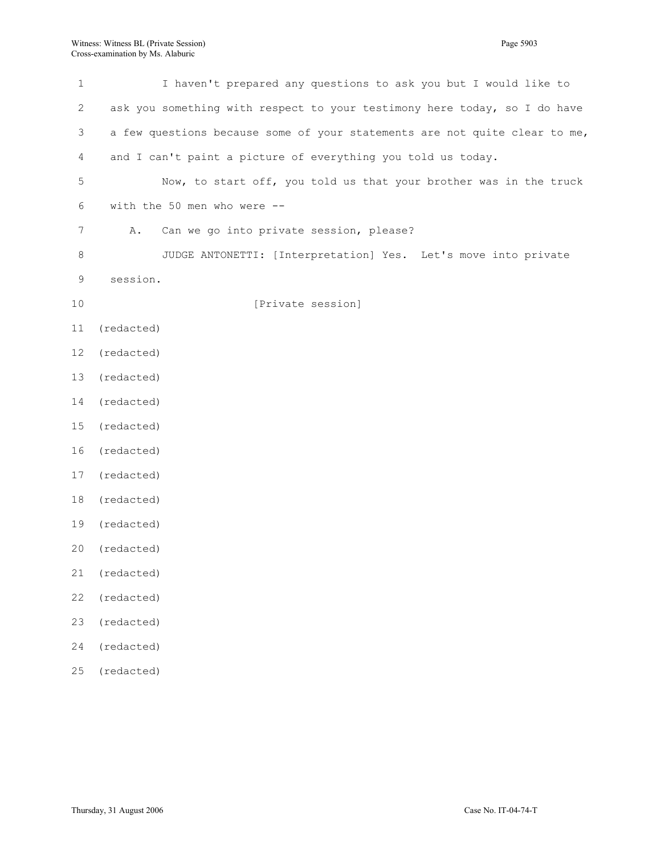| $\mathbf 1$ | I haven't prepared any questions to ask you but I would like to            |
|-------------|----------------------------------------------------------------------------|
| 2           | ask you something with respect to your testimony here today, so I do have  |
| 3           | a few questions because some of your statements are not quite clear to me, |
| 4           | and I can't paint a picture of everything you told us today.               |
| 5           | Now, to start off, you told us that your brother was in the truck          |
| 6           | with the 50 men who were $-$ -                                             |
| 7           | Α.<br>Can we go into private session, please?                              |
| 8           | JUDGE ANTONETTI: [Interpretation] Yes. Let's move into private             |
| $\mathsf 9$ | session.                                                                   |
| $10$        | [Private session]                                                          |
| 11          | (redacted)                                                                 |
| 12          | (redacted)                                                                 |
| 13          | (redacted)                                                                 |
| 14          | (redacted)                                                                 |
| 15          | (redacted)                                                                 |
| 16          | (redacted)                                                                 |
| 17          | (redacted)                                                                 |
| 18          | (redacted)                                                                 |
| 19          | (redacted)                                                                 |
| 20          | (redacted)                                                                 |
| 21          | (redacted)                                                                 |
| 22          | (redacted)                                                                 |
| 23          | (redacted)                                                                 |
| 24          | (redacted)                                                                 |

25 (redacted)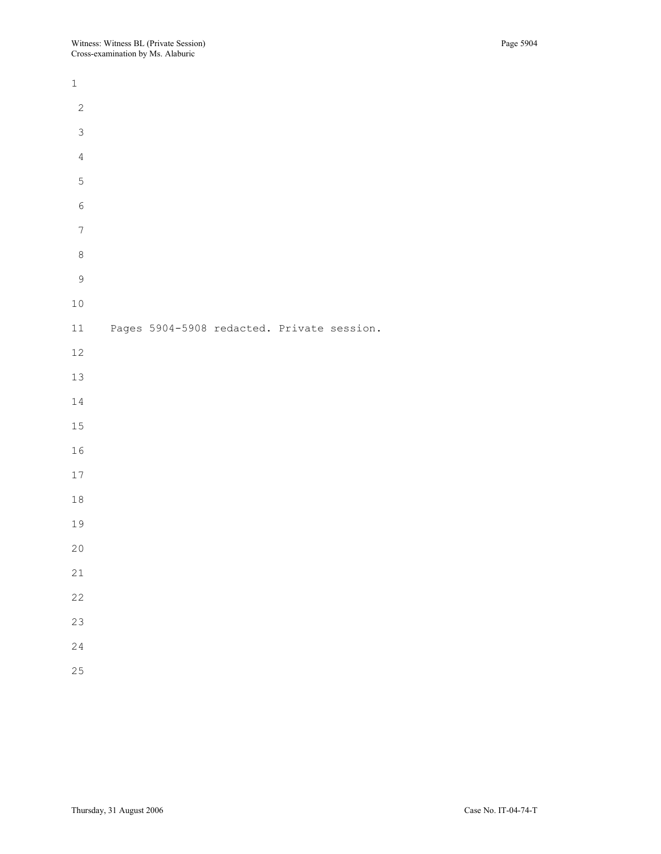| $\mathbbm{1}$    |  |                                            |  |  |
|------------------|--|--------------------------------------------|--|--|
| $\sqrt{2}$       |  |                                            |  |  |
| $\mathfrak{Z}$   |  |                                            |  |  |
| $\overline{4}$   |  |                                            |  |  |
| 5                |  |                                            |  |  |
| $\epsilon$       |  |                                            |  |  |
| $\boldsymbol{7}$ |  |                                            |  |  |
| $\,8\,$          |  |                                            |  |  |
| $\mathfrak g$    |  |                                            |  |  |
| $1\,0$           |  |                                            |  |  |
| $11\,$           |  | Pages 5904-5908 redacted. Private session. |  |  |
| $12\,$           |  |                                            |  |  |
| $13\,$           |  |                                            |  |  |
| $1\,4$           |  |                                            |  |  |
| $15\,$           |  |                                            |  |  |
| $1\,6$           |  |                                            |  |  |
| $17\,$           |  |                                            |  |  |
| $1\,8$           |  |                                            |  |  |
| 19               |  |                                            |  |  |
| 20               |  |                                            |  |  |
| 21               |  |                                            |  |  |
| 22               |  |                                            |  |  |
| 23               |  |                                            |  |  |
| 24               |  |                                            |  |  |
| 25               |  |                                            |  |  |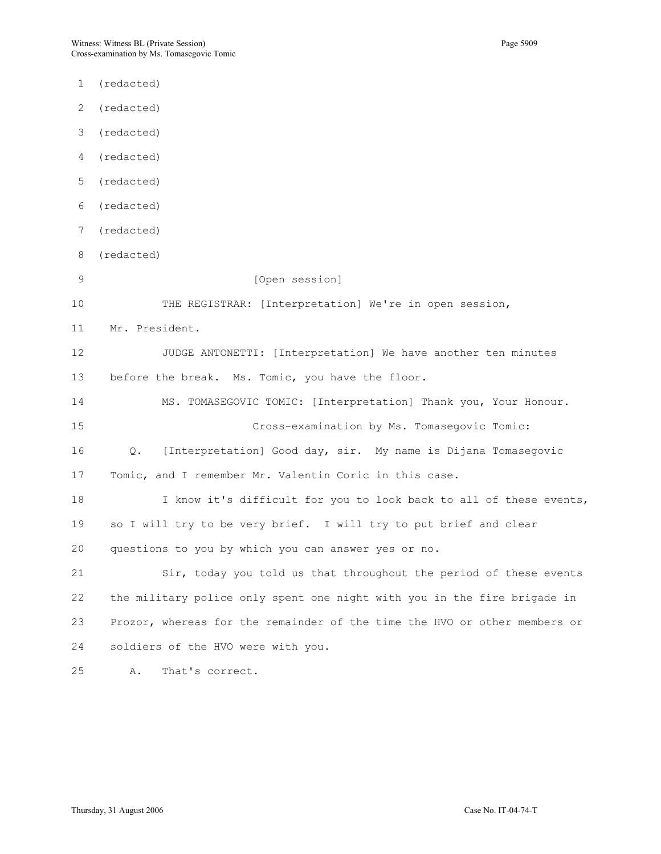- 1 (redacted)
- 2 (redacted)
- 3 (redacted)
- 4 (redacted)
- 5 (redacted)
- 6 (redacted)
- 7 (redacted)
- 8 (redacted)
- 

9 [Open session]

10 THE REGISTRAR: [Interpretation] We're in open session,

11 Mr. President.

12 JUDGE ANTONETTI: [Interpretation] We have another ten minutes 13 before the break. Ms. Tomic, you have the floor.

14 MS. TOMASEGOVIC TOMIC: [Interpretation] Thank you, Your Honour. 15 Cross-examination by Ms. Tomasegovic Tomic: 16 Q. [Interpretation] Good day, sir. My name is Dijana Tomasegovic 17 Tomic, and I remember Mr. Valentin Coric in this case.

18 I know it's difficult for you to look back to all of these events, 19 so I will try to be very brief. I will try to put brief and clear 20 questions to you by which you can answer yes or no.

21 Sir, today you told us that throughout the period of these events 22 the military police only spent one night with you in the fire brigade in 23 Prozor, whereas for the remainder of the time the HVO or other members or 24 soldiers of the HVO were with you.

25 A. That's correct.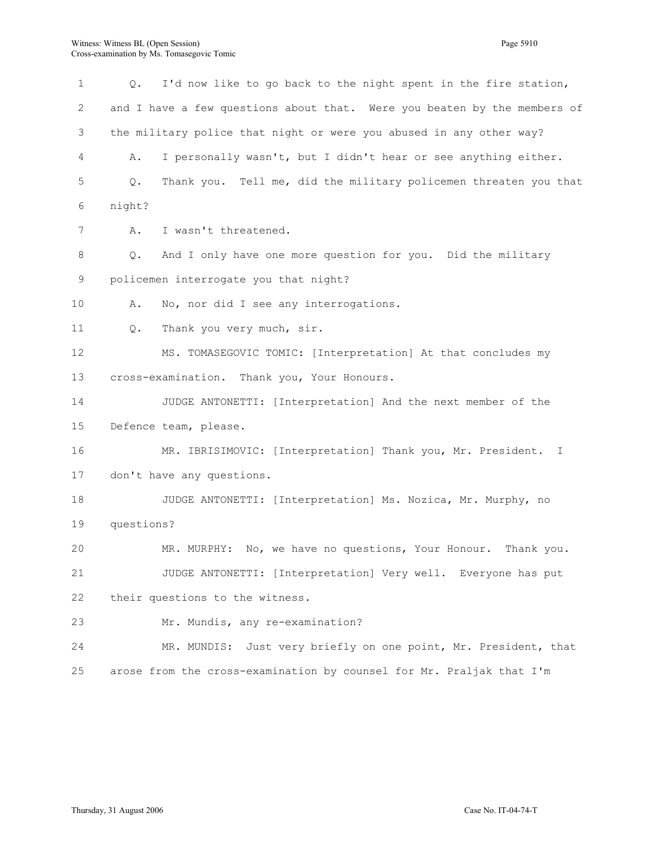1 Q. I'd now like to go back to the night spent in the fire station, 2 and I have a few questions about that. Were you beaten by the members of 3 the military police that night or were you abused in any other way? 4 A. I personally wasn't, but I didn't hear or see anything either. 5 Q. Thank you. Tell me, did the military policemen threaten you that 6 night? 7 A. I wasn't threatened. 8 Q. And I only have one more question for you. Did the military 9 policemen interrogate you that night? 10 A. No, nor did I see any interrogations. 11 Q. Thank you very much, sir. 12 MS. TOMASEGOVIC TOMIC: [Interpretation] At that concludes my 13 cross-examination. Thank you, Your Honours. 14 JUDGE ANTONETTI: [Interpretation] And the next member of the 15 Defence team, please. 16 MR. IBRISIMOVIC: [Interpretation] Thank you, Mr. President. I 17 don't have any questions. 18 JUDGE ANTONETTI: [Interpretation] Ms. Nozica, Mr. Murphy, no 19 questions? 20 MR. MURPHY: No, we have no questions, Your Honour. Thank you. 21 JUDGE ANTONETTI: [Interpretation] Very well. Everyone has put 22 their questions to the witness. 23 Mr. Mundis, any re-examination? 24 MR. MUNDIS: Just very briefly on one point, Mr. President, that 25 arose from the cross-examination by counsel for Mr. Praljak that I'm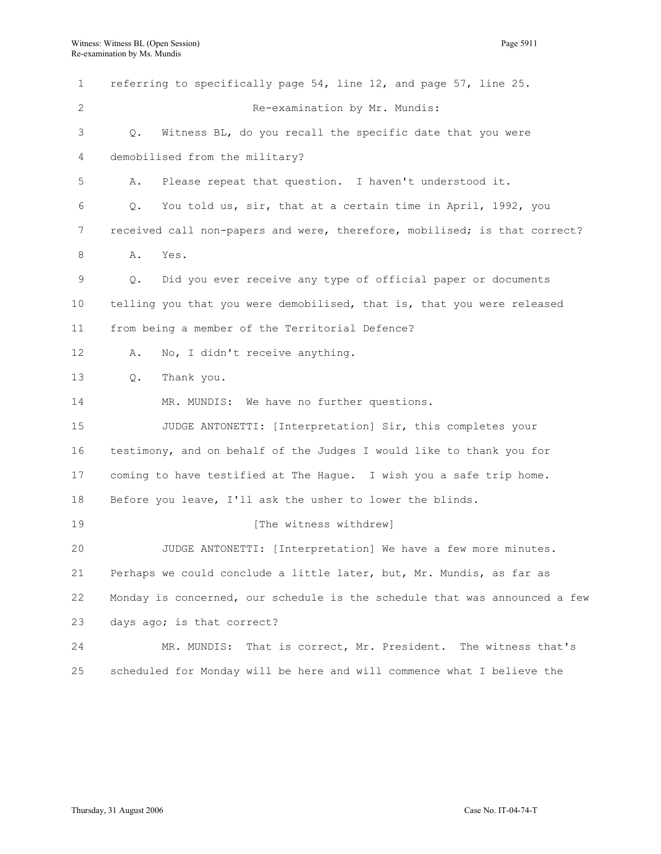1 referring to specifically page 54, line 12, and page 57, line 25. 2 Re-examination by Mr. Mundis: 3 Q. Witness BL, do you recall the specific date that you were 4 demobilised from the military? 5 A. Please repeat that question. I haven't understood it. 6 Q. You told us, sir, that at a certain time in April, 1992, you 7 received call non-papers and were, therefore, mobilised; is that correct? 8 A. Yes. 9 Q. Did you ever receive any type of official paper or documents 10 telling you that you were demobilised, that is, that you were released 11 from being a member of the Territorial Defence? 12 A. No, I didn't receive anything. 13 Q. Thank you. 14 MR. MUNDIS: We have no further questions. 15 JUDGE ANTONETTI: [Interpretation] Sir, this completes your 16 testimony, and on behalf of the Judges I would like to thank you for 17 coming to have testified at The Hague. I wish you a safe trip home. 18 Before you leave, I'll ask the usher to lower the blinds. 19 **Interval** [The witness withdrew] 20 JUDGE ANTONETTI: [Interpretation] We have a few more minutes. 21 Perhaps we could conclude a little later, but, Mr. Mundis, as far as 22 Monday is concerned, our schedule is the schedule that was announced a few 23 days ago; is that correct? 24 MR. MUNDIS: That is correct, Mr. President. The witness that's

25 scheduled for Monday will be here and will commence what I believe the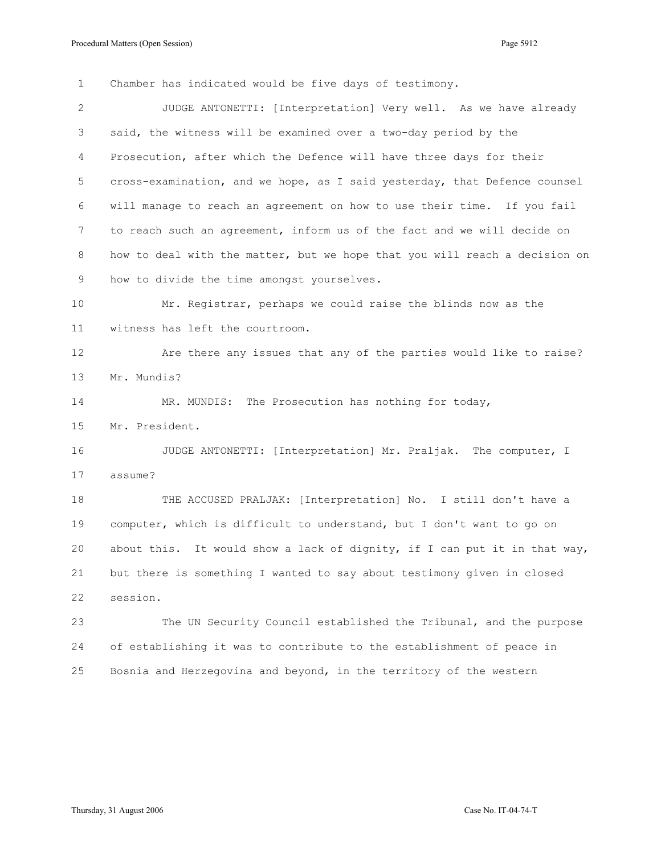1 Chamber has indicated would be five days of testimony. 2 JUDGE ANTONETTI: [Interpretation] Very well. As we have already 3 said, the witness will be examined over a two-day period by the 4 Prosecution, after which the Defence will have three days for their 5 cross-examination, and we hope, as I said yesterday, that Defence counsel 6 will manage to reach an agreement on how to use their time. If you fail 7 to reach such an agreement, inform us of the fact and we will decide on 8 how to deal with the matter, but we hope that you will reach a decision on 9 how to divide the time amongst yourselves. 10 Mr. Registrar, perhaps we could raise the blinds now as the 11 witness has left the courtroom. 12 Are there any issues that any of the parties would like to raise? 13 Mr. Mundis? 14 MR. MUNDIS: The Prosecution has nothing for today, 15 Mr. President. 16 JUDGE ANTONETTI: [Interpretation] Mr. Praljak. The computer, I 17 assume? 18 THE ACCUSED PRALJAK: [Interpretation] No. I still don't have a 19 computer, which is difficult to understand, but I don't want to go on 20 about this. It would show a lack of dignity, if I can put it in that way, 21 but there is something I wanted to say about testimony given in closed 22 session. 23 The UN Security Council established the Tribunal, and the purpose 24 of establishing it was to contribute to the establishment of peace in 25 Bosnia and Herzegovina and beyond, in the territory of the western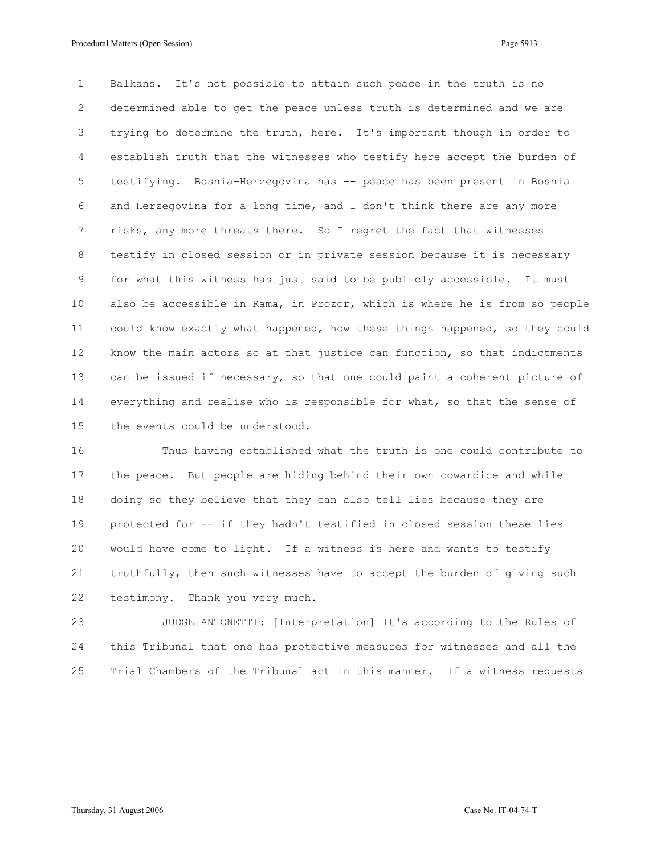1 Balkans. It's not possible to attain such peace in the truth is no 2 determined able to get the peace unless truth is determined and we are 3 trying to determine the truth, here. It's important though in order to 4 establish truth that the witnesses who testify here accept the burden of 5 testifying. Bosnia-Herzegovina has -- peace has been present in Bosnia 6 and Herzegovina for a long time, and I don't think there are any more 7 risks, any more threats there. So I regret the fact that witnesses 8 testify in closed session or in private session because it is necessary 9 for what this witness has just said to be publicly accessible. It must 10 also be accessible in Rama, in Prozor, which is where he is from so people 11 could know exactly what happened, how these things happened, so they could 12 know the main actors so at that justice can function, so that indictments 13 can be issued if necessary, so that one could paint a coherent picture of 14 everything and realise who is responsible for what, so that the sense of 15 the events could be understood.

16 Thus having established what the truth is one could contribute to 17 the peace. But people are hiding behind their own cowardice and while 18 doing so they believe that they can also tell lies because they are 19 protected for -- if they hadn't testified in closed session these lies 20 would have come to light. If a witness is here and wants to testify 21 truthfully, then such witnesses have to accept the burden of giving such 22 testimony. Thank you very much.

23 JUDGE ANTONETTI: [Interpretation] It's according to the Rules of 24 this Tribunal that one has protective measures for witnesses and all the 25 Trial Chambers of the Tribunal act in this manner. If a witness requests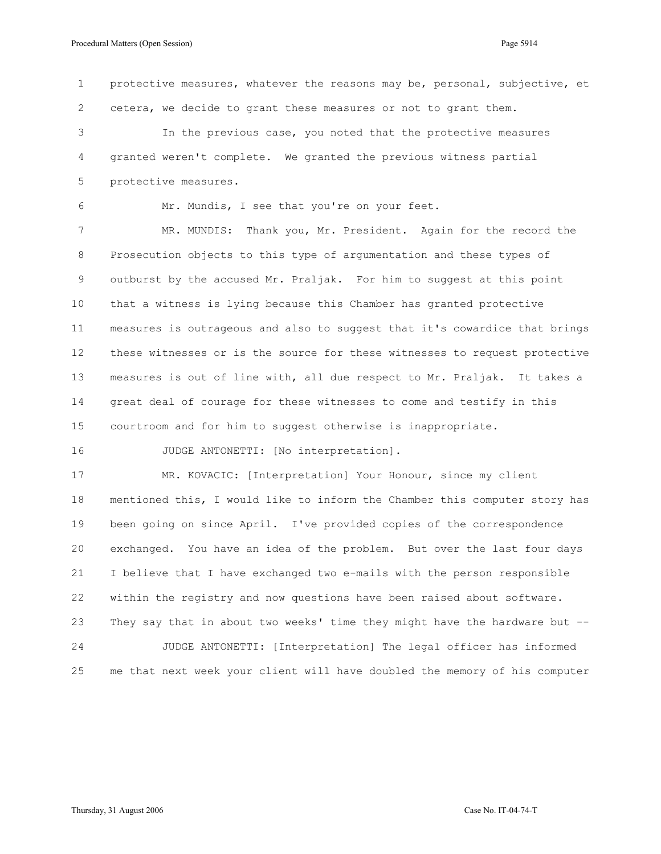1 protective measures, whatever the reasons may be, personal, subjective, et 2 cetera, we decide to grant these measures or not to grant them. 3 In the previous case, you noted that the protective measures 4 granted weren't complete. We granted the previous witness partial 5 protective measures.

6 Mr. Mundis, I see that you're on your feet.

7 MR. MUNDIS: Thank you, Mr. President. Again for the record the 8 Prosecution objects to this type of argumentation and these types of 9 outburst by the accused Mr. Praljak. For him to suggest at this point 10 that a witness is lying because this Chamber has granted protective 11 measures is outrageous and also to suggest that it's cowardice that brings 12 these witnesses or is the source for these witnesses to request protective 13 measures is out of line with, all due respect to Mr. Praljak. It takes a 14 great deal of courage for these witnesses to come and testify in this 15 courtroom and for him to suggest otherwise is inappropriate.

16 JUDGE ANTONETTI: [No interpretation].

17 MR. KOVACIC: [Interpretation] Your Honour, since my client 18 mentioned this, I would like to inform the Chamber this computer story has 19 been going on since April. I've provided copies of the correspondence 20 exchanged. You have an idea of the problem. But over the last four days 21 I believe that I have exchanged two e-mails with the person responsible 22 within the registry and now questions have been raised about software. 23 They say that in about two weeks' time they might have the hardware but -- 24 JUDGE ANTONETTI: [Interpretation] The legal officer has informed 25 me that next week your client will have doubled the memory of his computer